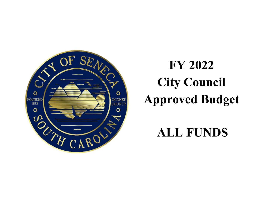

# **FY 2022 City Council Approved Budget**

## **ALL FUNDS**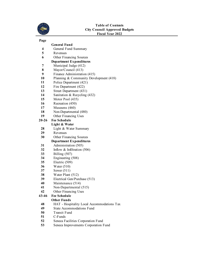

### **Page**

|          | <b>General Fund</b>                                                            |
|----------|--------------------------------------------------------------------------------|
| 4        | General Fund Summary                                                           |
| 5        | Revenues                                                                       |
| 6        | Other Financing Sources                                                        |
|          | <b>Department Expenditures</b>                                                 |
| 7        | Municipal Judge (412)                                                          |
| 8        | Mayor/Council (413)                                                            |
| 9        | Finance Administration (415)                                                   |
| 10       | Planning & Community Development (418)                                         |
| 11       | Police Department (421)                                                        |
| 12       | Fire Department (422)                                                          |
| 13       | Street Department (431)                                                        |
| 14       | Sanitation & Recycling (432)                                                   |
| 15       | Motor Pool (435)                                                               |
| 16       | Recreation (450)                                                               |
| 17       | Museums (460)                                                                  |
| 18       | Non-Departmental (480)                                                         |
| 19       | Other Financing Uses                                                           |
| 20-26    | <b>Fee Schedule</b>                                                            |
|          | Light & Water                                                                  |
| 28       | Light & Water Summary                                                          |
| 29       | Revenues                                                                       |
| 30       | Other Financing Sources                                                        |
|          | <b>Department Expenditures</b>                                                 |
| 31       | Administration (505)                                                           |
| 32       | Inflow $&$ Infiltration (506)                                                  |
| 33       | Billing (507)                                                                  |
| 34       | Engineering (508)                                                              |
| 35       | Electric (509)                                                                 |
| 36       | Water $(510)$                                                                  |
| 37       | Sewer $(511)$                                                                  |
| 38       | Water Plant (512)                                                              |
| 39       | Electrical Gen/Purchase (513)                                                  |
| 40       | Maintenance (514)                                                              |
| 41       | Non-Departmental (515)                                                         |
| 42       | Other Financing Uses                                                           |
| 43-46    | <b>Fee Schedule</b>                                                            |
|          | Other Funds                                                                    |
| 48       | HAT - Hospitality Local Accommodations Tax<br><b>State Accommodations Fund</b> |
| 49<br>50 | <b>Transit Fund</b>                                                            |
| 51       | $C$ -Funds                                                                     |
| 52       | Seneca Facilities Corporation Fund                                             |
| 53       |                                                                                |
|          | Seneca Improvements Corporation Fund                                           |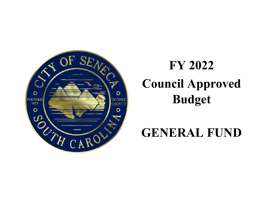<span id="page-2-0"></span>

# **FY 2022 Council Approved Budget**

## **GENERAL FUND**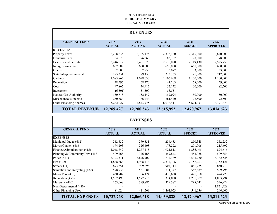#### **CITY OF SENECA BUDGET SUMMARY FISCAL YEAR 2022**

<span id="page-3-0"></span>

|                         |                       | <b>REVENUES</b>       |                       |                       |                         |
|-------------------------|-----------------------|-----------------------|-----------------------|-----------------------|-------------------------|
| <b>GENERAL FUND</b>     | 2018<br><b>ACTUAL</b> | 2019<br><b>ACTUAL</b> | 2020<br><b>ACTUAL</b> | 2021<br><b>BUDGET</b> | 2022<br><b>APPROVED</b> |
| <b>REVENUES:</b>        |                       |                       |                       |                       |                         |
| <b>Property Taxes</b>   | 2,208,835             | 2,365,175             | 2,375,160             | 2,315,000             | 2,640,000               |
| <b>Franchise Fees</b>   | 84,879                | 76,568                | 83,782                | 78,000                | 78,000                  |
| Licenses and Permits    | 2,246,617             | 2,461,523             | 2,510,090             | 2,119,430             | 2,525,750               |
| Intergovernmental       | 662,887               | 650,000               | 650,000               | 650,000               | 650,000                 |
| Grants                  | 2,000                 | 2,950                 | 33,077                | 3,000                 | 33,000                  |
| State Intergovernmental | 195,351               | 189,450               | 213,363               | 191,000               | 212,000                 |
| Garbage                 | 1,085,867             | 1,098,030             | 1,106,608             | 1,100,000             | 1,100,000               |
| Recreation              | 48,596                | 68,270                | 41,203                | 58,000                | 59,000                  |
| Court                   | 97,867                | 74,912                | 52,172                | 60,000                | 82,500                  |
| Investment              | (6,501)               | 51,500                | 53,551                |                       |                         |
| Natural Gas Authority   | 130,618               | 152,147               | 157,094               | 150,000               | 150,000                 |
| Miscellaneous Income    | 230,384               | 166,244               | 261,440               | 72,500                | 92,500                  |
| Other Financing Sources | 5,282,027             | 4,843,775             | 6,078,411             | 5,674,037             | 6, 191, 873             |
| <b>TOTAL REVENUE</b>    | 12,269,427            | 12,200,543            | 13,615,952            | 12,470,967            | 13,814,623              |

|                                 |                       | <b>EXPENSES</b>       |                       |                       |                         |
|---------------------------------|-----------------------|-----------------------|-----------------------|-----------------------|-------------------------|
| <b>GENERAL FUND</b>             | 2018<br><b>ACTUAL</b> | 2019<br><b>ACTUAL</b> | 2020<br><b>ACTUAL</b> | 2021<br><b>BUDGET</b> | 2022<br><b>APPROVED</b> |
| <b>EXPENSES:</b>                |                       |                       |                       |                       |                         |
| Municipal Judge (412)           | 242,832               | 270,331               | 234,483               | 250,348               | 252,232                 |
| Mayor/Council (413)             | 174,293               | 226,408               | 178,222               | 201,006               | 215,692                 |
| Finance/Administration (415)    | 1,048,742             | 1,277,115             | 1,921,813             | 1,886,495             | 824,616                 |
| Planning & Community Dev. (418) | 409,268               | 376,168               | 357,843               | 453,028               | 509,854                 |
| Police $(421)$                  | 3,323,511             | 3,676,709             | 3,714,189             | 3,535,220             | 3,762,528               |
| Fire (422)                      | 1,868,868             | 1,988,416             | 2,374,706             | 2,157,763             | 2,152,121               |
| Street $(431)$                  | 893,551               | 929,294               | 904,114               | 881,275               | 850,910                 |
| Sanitation and Recycling (432)  | 598,738               | 551,884               | 831,347               | 552,889               | 509,795                 |
| Motor Pool (435)                | 430,782               | 386,124               | 418,638               | 421,958               | 474,729                 |
| Recreation (450)                | 1,502,490             | 1,572,715             | 1,314,038             | 1,291,309             | 1,803,794               |
| Museums $(460)$                 | 163,068               | 399,885               | 329,382               | 298,641               | 346,924                 |
| Non-Departmental (480)          |                       |                       |                       |                       | 1,821,429               |
| Other Financing Uses            | 81,624                | 411,569               | 1,461,053             | 541,036               | 290,000                 |
| <b>TOTAL EXPENSES</b>           | 10,737,768            | 12,066,618            | 14,039,828            | 12,470,967            | 13,814,623              |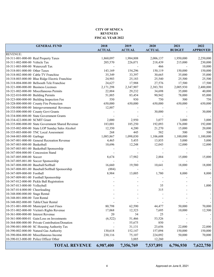#### **CITY OF SENECA REVENUES FISCAL YEAR 2022**

| <b>GENERAL FUND</b>                               | 2018<br><b>ACTUAL</b> | 2019<br><b>ACTUAL</b> | 2020<br><b>ACTUAL</b> | 2021<br><b>BUDGET</b> | 2022<br><b>APPROVED</b>  |
|---------------------------------------------------|-----------------------|-----------------------|-----------------------|-----------------------|--------------------------|
| <b>REVENUE:</b>                                   |                       |                       |                       |                       |                          |
| 10-311-001-000-00 Real Property Taxes             | 1,860,097             | 1,984,808             | 2,006,137             | 1,950,000             | 2,250,000                |
| 10-311-002-000-00 Vehicle Tax                     | 205,570               | 226,071               | 218,439               | 215,000               | 230,000                  |
| 10-311-003-000-00 Watercraft Tax                  |                       |                       | 466                   |                       | 10,000                   |
| 10-318-001-000-00 Other Taxes                     | 143,169               | 154,296               | 150,119               | 150,000               | 150,000                  |
| 10-318-002-000-00 Cable TV Franchise              | 35,349                | 33,397                | 30,665                | 35,000                | 35,000                   |
| 10-318-003-000-00 Blue Ridge Electric Franchise   | 24,903                | 25,183                | 25,540                | 25,500                | 25,500                   |
| 10-318-004-000-00 Bellsouth Tele Franchise        |                       |                       |                       |                       |                          |
| 10-321-000-000-00 Business Licenses               | 24,627                | 17,988                | 27,576                | 17,500                | 17,500<br>2,400,000      |
|                                                   | 2,171,298             | 2,347,907             | 2,383,701             | 2,005,930             |                          |
| 10-321-002-000-00 Miscellaneous Permits           | 22,884                | 29,232                | 34,698                | 35,000                | 40,000                   |
| 10-322-010-000-00 Building Permits                | 51,885                | 83,454                | 90,942                | 78,000                | 85,000                   |
| 10-323-000-000-00 Building Inspection Fee         | 550                   | 930                   | 750                   | 500                   | 750                      |
| 10-328-000-000-00 County Fire Protection          | 650,000               | 650,000               | 650,000               | 650,000               | 650,000                  |
| 10-330-000-000-00 Intergovernmental Revenues      | 12,887                |                       |                       |                       |                          |
| 10-333-000-000-00 County Govt Grants              |                       |                       | 30,000                |                       | 30,000                   |
| 10-334-000-000-00 State Government Grants         |                       |                       |                       |                       |                          |
| 10-334-422-000-00 SCMIT Grant                     | 2,000                 | 2,950                 | 3,077                 | 3,000                 | 3,000                    |
| 10-335-000-000-00 State Government Shared Revenue | 183,001               | 185,250               | 192,093               | 176,000               | 192,000                  |
| 10-335-002-000-00 State LOP Sunday Sales Alcohol  | 12,350                | 4,200                 | 21,270                | 15,000                | 20,000                   |
| 10-335-003-000-00 TNC Local Assessment            | 268                   | 445                   | 582                   | 500                   | 500                      |
| 10-344-003-000-00 Garbage                         | 1,085,867             | 1,098,030             | 1,106,608             | 1,100,000             | 1,100,000                |
| 10-347-001-000-00 General Recreation Revenue      | 4,465                 | 5,455                 | 13,855                | 5,000                 | 5,000                    |
| 10-347-003-000-00 Basketball                      | 10,696                | 12,248                | 12,043                | 12,000                | 12,000                   |
| 10-347-003-001-00 Basketball Sponsorship          |                       |                       |                       |                       |                          |
| 10-347-004-000-00 Concession Stand                |                       |                       |                       |                       |                          |
| 10-347-005-000-00 Soccer                          | 8,674                 | 17,982                | 2,884                 | 15,000                | 15,000                   |
| 10-347-005-001-00 Soccer Sponsorship              |                       |                       |                       |                       |                          |
| 10-347-008-000-00 Baseball/Softball               | 16,660                | 19,580                | 10,641                | 18,000                | 18,000                   |
| 10-347-008-001-00 Baseball/Softball Sponsorship   | (884)                 |                       |                       |                       |                          |
| 10-347-009-000-00 Football                        | 8,984                 | 13,005                | 1,780                 | 8,000                 | 8,000                    |
| 10-347-009-001-00 Football Sponsorship            |                       |                       |                       |                       |                          |
| 10-347-012-000-00 Pickle Ball Registration        |                       |                       |                       |                       |                          |
| 10-347-013-000-00 Volleyball                      |                       |                       | 35                    |                       | 1,000                    |
| 10-347-014-000-00 Cheerleading                    |                       |                       | 315                   |                       |                          |
| 10-348-000-000-00 Stage Rental                    |                       |                       |                       |                       |                          |
| 10-348-001-000-00 Tent Rental                     |                       |                       |                       |                       | $\overline{\phantom{a}}$ |
| 10-348-002-000-00 Table/Chair Rental              |                       |                       |                       |                       |                          |
| 10-351-001-000-00 Municipal Court Fines           | 80,798                | 62,590                | 44,477                | 50,000                | 70,000                   |
| 10-351-002-000-00 Victim's Rights Revenue         | 17,068                | 12,323                | 7,695                 | 10,000                | 12,500                   |
| 10-361-000-000-00 Interest Revenue                | 20                    | 34                    | 25                    |                       |                          |
| 10-361-000-000-01 Gain/Loss on Investments        | (6, 522)              | 51,466                | 53,526                |                       |                          |
| 10-364-000-000-00 Private Contribution/Donation   |                       | 55,675                | 850                   |                       |                          |
| 10-390-001-000-00 SC Housing Authority Tax        |                       | 31,131                | 23,656                | 22,000                | 22,000                   |
| 10-390-002-000-00 Natural Gas Authority           | 130,618               | 152,147               | 157,094               | 150,000               | 150,000                  |
| 10-390-004-000-00 Miscellaneous Income            | 230,116               | 75,107                | 224,092               | 50,000                | 70,000                   |
| 10-390-013-000-00 Police Officer Other            |                       | 3,885                 | 12,260                |                       |                          |
|                                                   |                       |                       |                       |                       |                          |
| <b>TOTAL REVENUE</b>                              | 6,987,400             | 7,356,769             | 7,537,891             | 6,796,930             | 7,622,750                |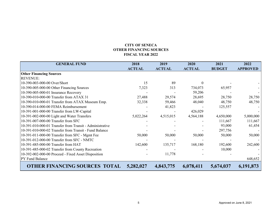### **CITY OF SENECA OTHER FINANCING SOURCES FISCAL YEAR 2022**

| <b>GENERAL FUND</b>                                      | 2018          | 2019          | 2020          | 2021          | 2022            |
|----------------------------------------------------------|---------------|---------------|---------------|---------------|-----------------|
|                                                          | <b>ACTUAL</b> | <b>ACTUAL</b> | <b>ACTUAL</b> | <b>BUDGET</b> | <b>APPROVED</b> |
| <b>Other Financing Sources</b>                           |               |               |               |               |                 |
| <b>REVENUE:</b>                                          |               |               |               |               |                 |
| 10-390-003-000-00 Over/Short                             | 15            | 89            |               |               |                 |
| 10-390-005-000-00 Other Financing Sources                | 7,323         | 313           | 734,073       | 65,957        |                 |
| 10-390-005-000-01 Insurance Recovery                     |               |               | 59,206        |               |                 |
| 10-390-010-000-00 Transfer from ATAX 31                  | 27,488        | 29,574        | 28,695        | 28,750        | 28,750          |
| 10-390-010-000-01 Transfer from ATAX Museum Emp.         | 32,338        | 59,466        | 48,040        | 48,750        | 48,750          |
| 10-390-014-000-00 FEMA Reimbursement                     |               | 41,823        |               | 125,557       |                 |
| 10-391-001-000-00 Transfer from LW-Capital               |               |               | 426,029       |               |                 |
| 10-391-002-000-00 Light and Water Transfers              | 5,022,264     | 4,515,015     | 4,564,188     | 4,650,000     | 5,000,000       |
| 10-391-007-000-00 Transfer from SFC                      |               |               |               | 111,667       | 111,667         |
| 10-391-010-000-01 Transfer from Transit - Administrative |               |               |               | 93,000        | 61,454          |
| 10-391-010-000-02 Transfer from Transit - Fund Balance   |               |               |               | 297,756       |                 |
| 10-391-011-000-00 Transfer from SFC - Mgmt Fee           | 50,000        | 50,000        | 50,000        | 50,000        | 50,000          |
| 10-391-012-000-00 Transfer from SFC - NMTC               |               |               |               |               |                 |
| 10-391-485-000-00 Transfer from HAT                      | 142,600       | 135,717       | 168,180       | 192,600       | 242,600         |
| 10-391-485-000-02 Transfer from County Recreation        |               |               |               | 10,000        |                 |
| 10-392-002-000-00 Proceed - Fixed Asset Disposition      |               | 11,778        |               |               |                 |
| PY Fund Balance                                          |               |               |               |               | 648,652         |
| <b>OTHER FINANCING SOURCES TOTAL</b>                     | 5,282,027     | 4,843,775     | 6,078,411     | 5,674,037     | 6,191,873       |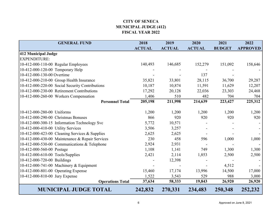## **CITY OF SENECA MUNICIPAL JUDGE (412) FISCAL YEAR 2022**

<span id="page-6-0"></span>

| <b>GENERAL FUND</b>                             | 2018          | 2019          | 2020          | 2021          | 2022            |
|-------------------------------------------------|---------------|---------------|---------------|---------------|-----------------|
|                                                 | <b>ACTUAL</b> | <b>ACTUAL</b> | <b>ACTUAL</b> | <b>BUDGET</b> | <b>APPROVED</b> |
| 412 Municipal Judge                             |               |               |               |               |                 |
| <b>EXPENDITURE:</b>                             |               |               |               |               |                 |
| 10-412-000-110-00 Regular Employees             | 140,493       | 146,685       | 152,279       | 151,092       | 158,646         |
| 10-412-000-120-00 Temporary Help                |               |               |               |               |                 |
| 10-412-000-130-00 Overtime                      |               |               | 137           |               |                 |
| 10-412-000-210-00 Group Health Insurance        | 35,821        | 33,801        | 28,115        | 36,700        | 29,287          |
| 10-412-000-220-00 Social Security Contributions | 10,187        | 10,874        | 11,591        | 11,629        | 12,207          |
| 10-412-000-230-00 Retirement Contributions      | 17,292        | 20,128        | 22,036        | 23,303        | 24,468          |
| 10-412-000-260-00 Workers Compensation          | 1,406         | 510           | 482           | 704           | 704             |
| <b>Personnel Total</b>                          | 205,198       | 211,998       | 214,639       | 223,427       | 225,312         |
|                                                 |               |               |               |               |                 |
| 10-412-000-280-00 Uniforms                      | 1,200         | 1,200         | 1,200         | 1,200         | 1,200           |
| 10-412-000-290-00 Christmas Bonuses             | 866           | 920           | 920           | 920           | 920             |
| 10-412-000-300-15 Information Technology Svc    | 5,772         | 10,571        |               |               |                 |
| 10-412-000-410-00 Utility Services              | 3,506         | 3,257         |               |               |                 |
| 10-412-000-423-00 Cleaning Services & Supplies  | 2,625         | 2,625         |               |               |                 |
| 10-412-000-430-00 Maintenance & Repair Services | 230           | 458           | 596           | 1,000         | 1,000           |
| 10-412-000-530-00 Communications & Telephone    | 2,924         | 2,931         |               |               |                 |
| 10-412-000-560-00 Postage                       | 1,108         | 1,141         | 749           | 1,300         | 1,300           |
| 10-412-000-610-00 Tools/Supplies                | 2,421         | 2,114         | 1,853         | 2,500         | 2,500           |
| 10-412-000-720-00 Buildings                     |               | 12,398        |               |               |                 |
| 10-412-000-741-00 Machinery & Equipment         |               |               |               | 4,512         |                 |
| 10-412-000-801-00 Operating Expense             | 15,460        | 17,174        | 13,996        | 14,500        | 17,000          |
| 10-412-000-810-00 Jury Expense                  | 1,522         | 3,543         | 529           | 988           | 3,000           |
| <b>Operations Total</b>                         | 37,634        | 58,333        | 19,843        | 26,920        | 26,920          |
| <b>MUNICIPAL JUDGE TOTAL</b>                    | 242,832       | 270,331       | 234,483       | 250,348       | 252,232         |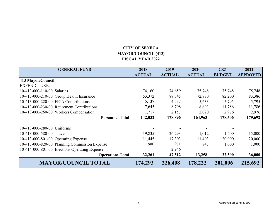## **CITY OF SENECA MAYOR/COUNCIL (413) FISCAL YEAR 2022**

<span id="page-7-0"></span>

| <b>GENERAL FUND</b>                           | 2018<br><b>ACTUAL</b> | 2019<br><b>ACTUAL</b> | 2020<br><b>ACTUAL</b> | 2021<br><b>BUDGET</b> | 2022<br><b>APPROVED</b> |
|-----------------------------------------------|-----------------------|-----------------------|-----------------------|-----------------------|-------------------------|
| 413 Mayor/Council                             |                       |                       |                       |                       |                         |
| EXPENDITURE:                                  |                       |                       |                       |                       |                         |
| 10-413-000-110-00 Salaries                    | 74,160                | 74,659                | 75,748                | 75,748                | 75,748                  |
| 10-413-000-210-00 Group Health Insurance      | 53,372                | 88,745                | 72,870                | 82,200                | 83,386                  |
| 10-413-000-220-00 FICA Comtributions          | 5,137                 | 4,537                 | 5,633                 | 5,795                 | 5,795                   |
| 10-413-000-230-00 Retirement Contributions    | 7,645                 | 8,798                 | 8,693                 | 11,786                | 11,786                  |
| 10-413-000-260-00 Workers Compensation        | 1,717                 | 2,157                 | 2,020                 | 2,976                 | 2,976                   |
| <b>Personnel Total</b>                        | 142,032               | 178,896               | 164,963               | 178,506               | 179,692                 |
| 10-413-000-280-00 Uniforms                    |                       |                       |                       |                       |                         |
| 10-413-000-580-00 Travel                      | 19,835                | 26,293                | 1,012                 | 1,500                 | 15,000                  |
| 10-413-000-801-00 Operating Expense           | 11,445                | 17,303                | 11,403                | 20,000                | 20,000                  |
| 10-413-000-820-00 Planning Commission Expense | 980                   | 971                   | 843                   | 1,000                 | 1,000                   |
| 10-414-000-801-00 Elections Operating Expense |                       | 2,946                 |                       |                       |                         |
| <b>Operations Total</b>                       | 32,261                | 47,512                | 13,258                | 22,500                | 36,000                  |
| <b>MAYOR/COUNCIL TOTAL</b>                    | 174,293               | 226,408               | 178,222               | 201,006               | 215,692                 |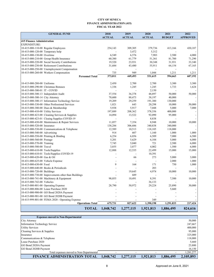#### **CITY OF SENECA FINANCE ADMINISTRATION (415) FISCAL YEAR 2022**

<span id="page-8-0"></span>

| <b>GENERAL FUND</b>                                                                 | 2018          | 2019             | 2020          | 2021          | 2022            |
|-------------------------------------------------------------------------------------|---------------|------------------|---------------|---------------|-----------------|
|                                                                                     | <b>ACTUAL</b> | <b>ACTUAL</b>    | <b>ACTUAL</b> | <b>BUDGET</b> | <b>APPROVED</b> |
| <b>415 Finance Administration</b>                                                   |               |                  |               |               |                 |
| <b>EXPENDITURE:</b>                                                                 |               |                  |               |               |                 |
| 10-415-000-110-00 Regular Employees                                                 | 254,143       | 309,305          | 379,736       | 413,166       | 430,187         |
| 10-415-000-120-00 Temporary help                                                    |               | 3,472            | 5,312         |               |                 |
| 10-415-000-130-00 Overtime                                                          | 6,549         | 6,576            | 7,903         | 2,500         | 4,000           |
| 10-415-000-210-00 Group Health Insurance                                            | 60,380        | 61,779           | 51,361        | 81,700        | 71,290          |
| 10-415-000-220-00 Social Security Contributions                                     | 19,520        | 23,931           | 30,348        | 31,931        | 33,340          |
| 10-415-000-230-00 Retirement Contributions                                          | 31,684        | 43,480           | 55,911        | 64,154        | 67,165          |
| 10-415-000-250-00 Unemployment Compensation                                         |               |                  |               |               |                 |
| 10-415-000-260-00 Workers Compensation                                              | 735           | 949              | 1,044         | 1,211         | 1,211           |
| <b>Personnel Total</b>                                                              | 373,011       | 449,493          | 531,615       | 594,663       | 607,192         |
| 10-415-000-280-00 Uniforms                                                          | 2,450         | 2,700            | 2,700         | 3,300         | 3,300           |
| 10-415-000-290-00 Christmas Bonuses                                                 | 1,336         | 1,245            | 1,245         | 1,733         | 1,624           |
| 10-415-000-300-01 IT - COVID                                                        |               |                  | 2,150         |               |                 |
| 10-415-000-300-13 Independent Audit                                                 | 37,554        | 36,378           | 48,897        | 50,000        | 50,000          |
|                                                                                     | 70,600        |                  | 38,197        | 40,000        |                 |
| 10-415-000-300-14 City Attorney<br>10-415-000-300-15 Information Technology Service | 19,209        | 88,473<br>29,259 | 191,380       | 130,000       |                 |
| 10-415-000-330-00 Other Professional Services                                       | 1,021         | 643              | 20,298        | 10,000        | 50,000          |
| 10-415-000-380-00 Dues & Membership                                                 | 5,938         | 5,917            | 7,048         | 5,000         | 7,000           |
| 10-415-000-410-00 Utility Services                                                  | 197,889       | 208,362          | 378,356       | 400,000       |                 |
| 10-415-000-423-00 Cleaning Services & Supplies                                      | 14,094        | 13,522           | 92,090        | 95,000        |                 |
| 10-415-000-423-01 Cleaing Supplies COVID-19                                         |               |                  | 8,838         |               |                 |
| 10-415-000-430-00 Maintenance & Repair Services                                     | 11,057        | 7,354            | 8,948         | 10,000        | 10,000          |
| 10-415-000-520-00 Insurance                                                         | 138,284       | 306,686          | 340,838       | 340,000       |                 |
| 10-415-000-530-00 Communications & Telephone                                        | 12,589        | 10,513           | 118,105       | 118,000       |                 |
| 10-415-000-540-00 Advertising                                                       | 914           | 607              | 1,160         | 1,000         | 1,000           |
| 10-415-000-550-00 Printing & Binding                                                | 6,254         | 6,856            | 6,509         | 7,000         | 6,500           |
| 10-415-000-560-00 Postage                                                           | 5,201         | 5,629            | 6,104         | 5,000         | 6,000           |
| 10-415-000-570-00 Training                                                          | 7,745         | 5,040            | 721           | 2,500         | 6,000           |
| 10-415-000-580-00 Travel                                                            | 3,855         | 3,877            | 4,002         | 1,500         | 6,000           |
| 10-415-000-610-00 Tools/Supplies                                                    | 12,888        | 12,535           | 22,499        | 15,000        | 15,000          |
| 10-415-000-610-01 Tools/Supplies COVID-19                                           |               |                  | 10,391        |               |                 |
| 10-415-000-620-00 Gas & Oil                                                         |               | 66               | 273           | 5,000         | 3,000           |
| 10-431-000-625-00 Vehicle Expense                                                   |               |                  |               | 2,000         | 1,000           |
| 10-415-000-630-00 Food                                                              | 9             | 164              | 171           | 750           | 1,000           |
| 10-415-000-640-00 Books & Periodicals                                               |               |                  | 203           |               |                 |
| 10-415-000-720-00 Buildings                                                         |               | 19,645           | 4,974         | 10,000        | 10,000          |
| 10-415-000-730-00 Improvements other than Buildings                                 |               | 689              |               |               |                 |
| 10-415-000-741-00 Machinery & Equipment                                             | 98,055        | 10,491           | 8,391         | 7,500         | 10,000          |
| 10-415-000-742-00 Vehicles                                                          |               |                  | 36,133        |               |                 |
| 10-415-000-801-00 Operating Expense                                                 | 28,790        | 50,972           | 29,224        | 25,890        | 30,000          |
| 10-415-000-806-00 Lease Purchase 2020                                               |               |                  |               | 5,660         |                 |
| 10-415-000-900-00 GO Bond 2020A Payment                                             |               |                  |               |               |                 |
| 10-415-000-901-00 GO Bond 2020B Payment                                             |               |                  |               |               |                 |
| 10-415-999-801-00 FEMA 2020 - Operating Expense                                     |               |                  | 349           |               |                 |
| <b>Operations Total</b>                                                             | 675,731       | 827,622          | 1,390,198     | 1,291,833     | 217,424         |
|                                                                                     |               |                  |               |               |                 |
| <b>TOTAL</b>                                                                        | 1,048,742     | 1,277,115        | 1,921,813     | 1,886,495     | 824,616         |

| <b>Expenses moved to Non-Departmental</b> |           |           |           |           |           |
|-------------------------------------------|-----------|-----------|-----------|-----------|-----------|
| City Attorney                             |           |           |           |           | 50,000    |
| Information Technology Service            |           |           |           |           | 247,667   |
| <b>Utility Services</b>                   |           |           |           |           | 400,000   |
| Cleaning Services & Supplies              |           |           |           |           | 95,000    |
| Insurance                                 |           |           |           |           | 325,000   |
| Communications & Telephone                |           |           |           |           | 118,000   |
| Lease Purchase 2020                       |           |           |           |           | 5,660     |
| GO Bond 2020A Payment                     |           |           |           |           | 23,800    |
| GO Bond 2020B Payment                     |           |           |           |           | 16,150    |
| Total expenses moved to Non-Departmental  |           |           |           |           | 1,281,277 |
| FINANCE ADMINISTRATION TOTAL              | 1,048,742 | 1,277,115 | 1.921.813 | 1,886,495 | 2,105,893 |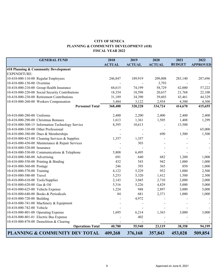### **CITY OF SENECA PLANNING & COMMUNITY DEVELOPMENT (418) FISCAL YEAR 2022**

<span id="page-9-0"></span>

| <b>GENERAL FUND</b>                              | 2018          | 2019          | 2020          | 2021          | 2022            |
|--------------------------------------------------|---------------|---------------|---------------|---------------|-----------------|
|                                                  | <b>ACTUAL</b> | <b>ACTUAL</b> | <b>ACTUAL</b> | <b>BUDGET</b> | <b>APPROVED</b> |
| 418 Planning & Community Development             |               |               |               |               |                 |
| <b>EXPENDITURE:</b>                              |               |               |               |               |                 |
| 10-418-000-110-00 Regular Employees              | 246,847       | 189,919       | 209,008       | 283,140       | 287,696         |
| 10-418-000-130-00 Overtime                       |               |               | 3,793         |               |                 |
| 10-418-000-210-00 Group Health Insurance         | 68,615        | 74,199        | 58,729        | 62,000        | 57,222          |
| 10-418-000-220-00 Social Security Contributions  | 18,354        | 18,598        | 20,637        | 21,768        | 22,108          |
| 10-418-000-230-00 Retirement Contributions       | 31,189        | 34,390        | 39,603        | 43,461        | 44,329          |
| 10-418-000-260-00 Workers Compensation           | 3,484         | 3,122         | 2,954         | 4,300         | 4,300           |
| <b>Personnel Total</b>                           | 368,488       | 320,228       | 334,724       | 414,670       | 415,655         |
| 10-418-000-280-00 Uniforms                       | 2,400         | 2,200         | 2,400         | 2,400         | 2,400           |
| 10-418-000-290-00 Christmas Bonuses              | 1,613         | 1,361         | 1,505         | 1,408         | 1,299           |
| 10-418-000-300-15 Information Technology Service | 8,395         | 10,613        |               | 13,500        |                 |
| 10-418-000-330-00 Other Professional             |               |               |               |               | 65,000          |
| 10-418-000-380-00 Dues & Memberships             |               |               | 690           | 1,500         | 1,500           |
| 10-418-000-423-00 Cleaning Services & Supplies   | 1,357         | 1,357         |               |               |                 |
| 10-418-000-430-00 Maintenance & Repair Services  |               | 303           |               |               |                 |
| 10-418-000-520-00 Insurance                      |               |               |               |               |                 |
| 10-418-000-530-00 Communications & Telephone     | 5,808         | 6,495         |               |               |                 |
| 10-418-000-540-00 Advertising                    | 691           | 640           | 682           | 1,200         | 1,000           |
| 10-418-000-550-00 Printing & Binding             | 432           | 543           | 942           | 1,000         | 1,000           |
| 10-418-000-560-00 Postage                        | 246           | 393           | 365           | 850           | 1,000           |
| 10-418-000-570-00 Training                       | 4,122         | 5,229         | 952           | 1,000         | 2,500           |
| 10-418-000-580-00 Travel                         | 5,253         | 5,320         | 1,412         | 1,500         | 2,500           |
| 10-418-000-610-00 Tools/Supplies                 | 2,143         | 3,045         | 2,710         | 2,000         | 2,000           |
| 10-418-000-620-00 Gas & Oil                      | 5,316         | 5,226         | 4,829         | 5,000         | 5,000           |
| 10-418-000-625-00 Vehicle Expense                | 1,224         | 948           | 2,897         | 3,000         | 5,000           |
| 10-418-000-640-00 Books & Periodicals            | 84            | 681           | 2,371         | 1,000         | 1,000           |
| 10-418-000-720-00 Building                       |               | 4,972         |               |               |                 |
| 10-418-000-741-00 Machinery & Equipment          |               |               |               |               |                 |
| 10-418-000-742-00 Vehicle                        |               |               |               |               |                 |
| 10-418-000-801-00 Operating Expense              | 1,695         | 6,214         | 1,363         | 3,000         | 3,000           |
| 10-418-000-801-01 Electric Bus Expense           |               | 402           |               |               |                 |
| 10-418-000-878-00 Demolition & Clearing          |               |               |               |               |                 |
| <b>Operations Total</b>                          | 40,780        | 55,940        | 23,119        | 38,358        | 94,199          |
| PLANNING & COMMUNITY DEV TOTAL                   | 409,268       | 376,168       | 357,843       | 453,028       | 509,854         |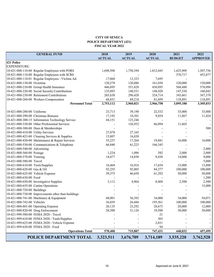#### **CITY OF SENECA POLICE DEPARTMENT (421) FISCAL YEAR 2022**

<span id="page-10-0"></span>

|                                     | <b>GENERAL FUND</b>                                 | 2018<br><b>ACTUAL</b> | 2019<br><b>ACTUAL</b> | 2020<br><b>ACTUAL</b> | 2021<br><b>BUDGET</b> | 2022<br><b>APPROVED</b> |
|-------------------------------------|-----------------------------------------------------|-----------------------|-----------------------|-----------------------|-----------------------|-------------------------|
| 421 Police                          |                                                     |                       |                       |                       |                       |                         |
| <b>EXPENDITURE:</b>                 |                                                     |                       |                       |                       |                       |                         |
|                                     | 10-421-000-110-00 Regular Employees with PORS       | 1,698,508             | 1,750,394             | 1,812,445             | 1,425,909             | 1,507,756               |
|                                     | 10-421-000-110-00 Regular Employees with SCRS       |                       |                       |                       | 370,717               | 452,877                 |
|                                     | 10-421-000-110-01 Regular Employees - Victims Ad.   | 17,068                | 12,323                | 7,695                 |                       |                         |
| 10-421-000-130-00 Overtime          |                                                     | 120,278               | 120,086               | 161,030               | 120,000               | 120,000                 |
|                                     | 10-421-000-210-00 Group Health Insurance            | 446,895               | 551,828               | 430,895               | 568,480               | 578,096                 |
|                                     | 10-421-000-220-00 Social Security Contributions     | 135,893               | 140,551               | 148,920               | 147,530               | 160,042                 |
|                                     | 10-421-000-230-00 Retirement Contributions          | 265,638               | 296,420               | 324,714               | 343,661               | 367,370                 |
|                                     | 10-421-000-260-00 Workers Compensation              | 68,831                | 89,218                | 81,059                | 118,891               | 118,891                 |
|                                     | <b>Personnel Total</b>                              | 2,753,112             | 2,960,821             | 2,966,758             | 3,095,188             | 3,305,033               |
|                                     |                                                     |                       |                       |                       |                       |                         |
| 10-421-000-280-00 Uniforms          |                                                     | 23,713                | 39,190                | 22,532                | 33,000                | 33,000                  |
|                                     | 10-421-000-290-00 Christmas Bonuses                 | 17,192                | 10,301                | 9,854                 | 11,867                | 11,424                  |
|                                     | 10-421-000-300-15 Information Technology Service    | 44,151                | 123,246               |                       |                       |                         |
|                                     | 10-421-000-330-00 Other Professional Services       |                       | 126,932               | 66,094                | 11,665                |                         |
|                                     | 10-421-000-380-00 Dues & Memberships                |                       |                       |                       |                       | 500                     |
| 10-421-000-410-00 Utility Services  |                                                     | 27,878                | 27,165                |                       |                       |                         |
|                                     | 10-421-000-423-00 Cleaning Services & Supplies      | 15,807                | 16,830                |                       |                       |                         |
|                                     | 10-421-000-430-00 Maintenance & Repair Services     | 35,237                | 17,264                | 19,881                | 16,000                | 16,000                  |
|                                     | 10-421-000-530-00 Communications & Telephone        | 66,840                | 61,223                | 166,345               |                       |                         |
| 10-421-000-540-00 Advertising       |                                                     |                       |                       |                       |                       | 2,000                   |
| 10-421-000-560-00 Postage           |                                                     | 1,224                 | 1,096                 | 582                   | 2,000                 | 2,000                   |
| 10-421-000-570-00 Training          |                                                     | 14,477                | 14,850                | 9,430                 | 14,000                | 9,000                   |
| 10-421-000-580-00 Travel            |                                                     |                       |                       |                       |                       | 5,000                   |
| 10-421-000-610-00 Tools/Supplies    |                                                     | 16,464                | 16,916                | 17,654                | 15,000                | 13,800                  |
| 10-421-000-620-00 Gas & Oil         |                                                     | 92,255                | 92,005                | 84,377                | 100,000               | 100,000                 |
| 10-421-000-625-00 Vehicle Expense   |                                                     | 59,375                | 46,650                | 61,292                | 50,000                | 50,000                  |
| 10-421-000-630-00 Food              |                                                     |                       |                       |                       |                       | 1,200                   |
|                                     | 10-421-000-650-00 Investigative Supplies            | 3,112                 | 4,964                 | 8,408                 | 2,500                 | 2,500                   |
| 10-421-000-655-00 Canine Operations |                                                     |                       |                       |                       |                       | 15,000                  |
| 10-421-000-720-00 Buildings         |                                                     |                       |                       |                       |                       |                         |
|                                     | 10-421-000-730-00 Improvements other than buildings |                       |                       |                       |                       |                         |
|                                     | 10-421-000-741-00 Machinery & Equipment             | 68,001                | 36,392                | 34,000                | 34,000                | 54,071                  |
| 10-421-000-742-00 Vehicles          |                                                     | 36,039                | 26,444                | 195,561               | 100,000               | 100,000                 |
| 10-421-000-801-00 Operating Expense |                                                     | 20,135                | 23,292                | 28,673                | 20,000                | 12,000                  |
| 10-421-000-820-00 Drug Enforcement  |                                                     | 28,500                | 31,126                | 19,500                | 30,000                | 30,000                  |
|                                     | 10-421-999-580-00 FEMA 2020 - Travel                |                       |                       | 21                    |                       |                         |
|                                     | 10-421-999-610-00 FEMA 2020 - Tools/Supplies        |                       |                       | 303                   |                       |                         |
|                                     | 10-421-999-625-00 FEMA 2020 - Vehicle Expense       |                       |                       | 2,831                 |                       |                         |
|                                     | 10-421-999-630-00 FEMA 2020 - Food                  |                       |                       | 94                    |                       |                         |
|                                     | <b>Operations Total</b>                             | 570,400               | 715,887               | 747,431               | 440,032               | 457,495                 |
|                                     | POLICE DEPARTMENT TOTAL                             | 3,323,511             | 3,676,709             | 3,714,189             | 3,535,220             | 3,762,528               |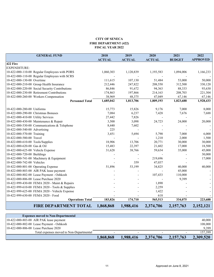#### **CITY OF SENECA FIRE DEPARTMENT (422) FISCAL YEAR 2022**

<span id="page-11-0"></span>

|                                     | <b>GENERAL FUND</b>                             | 2018          | 2019          | 2020          | 2021          | 2022            |
|-------------------------------------|-------------------------------------------------|---------------|---------------|---------------|---------------|-----------------|
|                                     |                                                 | <b>ACTUAL</b> | <b>ACTUAL</b> | <b>ACTUAL</b> | <b>BUDGET</b> | <b>APPROVED</b> |
| 422 Fire                            |                                                 |               |               |               |               |                 |
| EXPENDITURE:                        |                                                 |               |               |               |               |                 |
|                                     | 10-422-000-110-00 Regular Employees with PORS   | 1,060,303     | 1,120,839     | 1,193,583     | 1,094,006     | 1,166,233       |
|                                     | 10-422-000-110-00 Regular Employees with SCRS   |               |               |               |               |                 |
| 10-422-000-130-00 Overtime          |                                                 | 111,615       | 107,130       | 51,484        | 53,000        | 50,000          |
|                                     | 10-422-000-210-00 Group Health Insurance        | 212,446       | 247,822       | 208,550       | 312,500       | 330,120         |
|                                     | 10-422-000-220-00 Social Security Contributions | 86,846        | 91,672        | 94,363        | 88,333        | 93,630          |
|                                     | 10-422-000-230-00 Retirement Contributions      | 174,863       | 197,866       | 214,163       | 208,703       | 221,304         |
|                                     | 10-422-000-260-00 Workers Compensation          | 38,969        | 48,375        | 47,049        | 67,146        | 67,146          |
|                                     | <b>Personnel Total</b>                          | 1,685,042     | 1,813,706     | 1,809,193     | 1,823,688     | 1,928,433       |
| 10-422-000-280-00 Uniforms          |                                                 | 15,773        | 15,826        | 9,176         | 7,000         | 8,000           |
| 10-422-000-290-00 Christmas Bonuses |                                                 | 7,084         | 6,237         | 7,428         | 7,676         | 7,688           |
| 10-422-000-410-00 Utility Services  |                                                 | 27,442        | 7,826         |               |               |                 |
|                                     | 10-422-000-430-00 Maintenance & Repair          | 3,500         | 3,098         | 24,723        | 24,000        | 20,000          |
|                                     | 10-422-000-530-00 Communications & Telephone    | 8,440         | 7,602         |               |               |                 |
| 10-422-000-540-00 Advertising       |                                                 | 225           |               |               |               |                 |
| 10-422-000-570-00 Training          |                                                 | 3,451         | 5,694         | 5,790         | 7,000         | 6,000           |
| 10-422-000-580-00 Travel            |                                                 |               |               | 1,210         | 2,000         | 1,500           |
| 10-422-000-610-00 Tools/Supplies    |                                                 | 18,906        | 13,706        | 20,771        | 30,000        | 30,000          |
| 10-422-000-620-00 Gas & Oil         |                                                 | 15,483        | 22,397        | 21,602        | 17,000        | 18,500          |
| 10-422-000-625-00 Vehicle Expense   |                                                 | 31,628        | 38,766        | 59,634        | 35,000        | 45,000          |
| 10-422-000-720-00 Buildings         |                                                 |               |               |               |               | 30,000          |
|                                     | 10-422-000-741-00 Machinery & Equipment         |               |               | 219,696       |               | 17,000          |
| 10-422-000-742-00 Vehicles          |                                                 |               | 359           | 47,037        |               |                 |
| 10-422-000-801-00 Operating Expense |                                                 | 51,896        | 53,199        | 34,825        | 40,000        | 40,000          |
|                                     | 10-422-000-803-00 AIR PAK lease payment         |               |               |               | 45,000        |                 |
|                                     | 10-422-000-802-00 Lease Payment - Oshkosh       |               |               | 107,433       | 110,000       |                 |
|                                     | 10-422-000-806-00 Lease Purchase 2020           |               |               |               | 9,399         |                 |
|                                     | 10-422-999-430-00 FEMA 2020 - Maint & Repairs   |               |               | 1,890         |               |                 |
|                                     | 10-422-999-610-00 FEMA 2020 - Tools & Supplies  |               |               | 2,259         |               |                 |
|                                     | 10-422-999-625-00 FEMA 2020 - Vehicle Expense   |               |               | 1,422         |               |                 |
| 10-422-999-630-00 FEMA 2020 - Food  |                                                 |               |               | 618           |               |                 |
|                                     | <b>Operations Total</b>                         | 183,826       | 174,710       | 565,513       | 334,075       | 223,688         |
|                                     | <b>FIRE DEPARTMENT TOTAL</b>                    | 1,868,868     | 1,988,416     | 2,374,706     | 2,157,763     | 2,152,121       |

| <b>Expenses moved to Non-Departmental</b> |           |           |                          |           |           |
|-------------------------------------------|-----------|-----------|--------------------------|-----------|-----------|
| 10-422-000-803-00 AIR PAK lease payment   |           |           |                          |           | 40,000    |
| 10-422-000-802-00 Lease Payment - Oshkosh |           |           |                          |           | 108,000   |
| 10-422-000-806-00 Lease Purchase 2020     |           |           |                          |           | 9.399     |
| Total expenses moved to Non-Departmental  |           |           | $\overline{\phantom{0}}$ |           | 157,399   |
|                                           | 1,868,868 | 1,988,416 | 2,374,706                | 2,157,763 | 2,309,520 |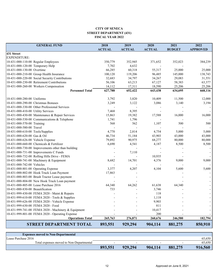#### **CITY OF SENECA STREET DEPARTMENT (431) FISCAL YEAR 2022**

| <b>GENERAL FUND</b>                                 | 2018<br><b>ACTUAL</b> | 2019<br><b>ACTUAL</b> | 2020<br><b>ACTUAL</b> | 2021<br><b>BUDGET</b> | 2022<br><b>APPROVED</b> |
|-----------------------------------------------------|-----------------------|-----------------------|-----------------------|-----------------------|-------------------------|
| 431 Street                                          |                       |                       |                       |                       |                         |
| <b>EXPENDITURE:</b>                                 |                       |                       |                       |                       |                         |
| 10-431-000-110-00 Regular Employees                 | 350,779               | 352,945               | 371,652               | 352,023               | 384,239                 |
| 10-431-000-120-00 Temporary Help                    | 7,702                 | 4,632                 |                       |                       |                         |
| 10-431-000-130-00 Overtime                          | 66,285                | 60,318                | 55,317                | 25,000                | 25,000                  |
| 10-431-000-210-00 Group Health Insurance            | 100,120               | 119,206               | 96,485                | 145,000               | 138,743                 |
| 10-431-000-220-00 Social Security Contributions     | 32,683                | 34,797                | 34,267                | 29,083                | 31,551                  |
| 10-431-000-230-00 Retirement Contributions          | 56,106                | 63,213                | 67,127                | 58,383                | 63,377                  |
| 10-431-000-260-00 Workers Compensation              | 14,112                | 17,311                | 18,590                | 25,206                | 25,206                  |
| <b>Personnel Total</b>                              | 627,788               | 652,422               | 643,438               | 634,695               | 668,116                 |
| 10-431-000-280-00 Uniforms                          | 3,792                 | 3,820                 | 10,409                | 11,500                | 12,000                  |
| 10-431-000-290-00 Christmas Bonuses                 | 3,249                 | 3,122                 | 3,086                 | 3,140                 | 3,194                   |
| 10-431-000-330-00 Other Professional Services       |                       |                       |                       |                       |                         |
| 10-431-000-410-00 Utility Services                  | 7,468                 | 8,395                 |                       |                       |                         |
| 10-431-000-430-00 Maintenance & Repair Services     | 15,863                | 19,382                | 17,588                | 16,000                | 16,000                  |
| 10-431-000-530-00 Communications & Telephone        | 1,741                 | 1,796                 |                       |                       |                         |
| 10-431-000-570-00 Training                          | 568                   | 562                   | 1,107                 | 500                   | 500                     |
| 10-431-000-580-00 Travel                            |                       |                       |                       |                       |                         |
| 10-431-000-610-00 Tools/Supplies                    | 4,770                 | 2,814                 | 4,754                 | 5,000                 | 5,000                   |
| 10-431-000-620-00 Gas & Oil                         | 46,734                | 51,184                | 43,903                | 43,000                | 43,000                  |
| 10-431-000-626-00 Vehicle Expense                   | 79,892                | 90,975                | 68,277                | 80,000                | 80,000                  |
| 10-431-000-660-00 Chemicals & Fertilizer            | 6,690                 | 4,541                 | 4,187                 | 8,500                 | 8,500                   |
| 10-431-000-730-00 Improvements other than building  |                       |                       |                       |                       |                         |
| 10-431-000-731-00 Improvements C Funds              |                       | 7,110                 |                       |                       |                         |
| 10-431-000-732-00 Rolling Hills Drive - FEMA        |                       |                       | 10,935                |                       |                         |
| 10-431-000-741-00 Machinery & Equipment             | 8,682                 | 14,701                | 4,376                 | 9,000                 | 9,000                   |
| 10-431-000-742-00 Vehicles                          |                       |                       |                       |                       |                         |
| 10-431-000-801-00 Operating Expense                 | 3,377                 | 4,207                 | 4,104                 | 5,600                 | 5,600                   |
| 10-431-000-802-00 Hook Truck Loan Payment           | 17,863                |                       |                       |                       |                         |
| 10-431-000-803-00 Brush Tractor Lease payment       |                       |                       |                       |                       |                         |
| 10-431-000-804-00 New Hook Truck Loan payment       |                       |                       |                       |                       |                         |
| 10-431-000-805-00 Lease Purchase 2016               | 64,340                | 64,262                | 61,638                | 64,340                |                         |
| 10-431-000-830-00 Beautification                    | 733                   |                       | 3,746                 |                       |                         |
| 10-431-999-430-00 FEMA 2020 - Maint & Repairs       |                       |                       | 118                   |                       |                         |
| 10-431-999-610-00 FEMA 2020 - Tools & Supplies      |                       |                       | 1,118                 |                       |                         |
| 10-431-999-626-00 FEMA 2020 - Vehicle Expense       |                       |                       | 9,903                 |                       |                         |
| 10-431-999-630-00 FEMA 2020 - Food                  |                       |                       | 811                   |                       |                         |
| 10-431-999-741-00 FEMA 2020 - Machinery & Equipment |                       |                       | 10,417                |                       |                         |
| 10-431-999-801-00 FEMA 2020 - Operating Expense     |                       |                       | 200                   |                       |                         |
| <b>Operations Total</b>                             | 265,763               | 276,871               | 260,676               | 246,580               | 182,794                 |
| <b>STREET DEPARTMENT TOTAL</b>                      | 893,551               | 929,294               | 904,114               | 881,275               | 850,910                 |

| <b>Expenses moved to Non-Departmental</b> |                          |         |                          |                          |         |
|-------------------------------------------|--------------------------|---------|--------------------------|--------------------------|---------|
| Lease Purchase 2016                       |                          |         |                          |                          | 65,650  |
| Total expenses moved to Non-Departmental  | $\overline{\phantom{0}}$ | -       | $\overline{\phantom{0}}$ | $\overline{\phantom{0}}$ | 65,650  |
|                                           | 893,551                  | 929,294 | 904,114                  | 881,275                  | 916,560 |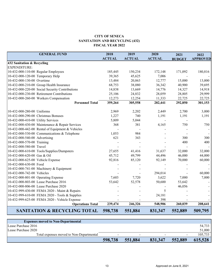#### **CITY OF SENECA SANITATION AND RECYCLING (432) FISCAL YEAR 2022**

<span id="page-13-0"></span>

|                                    | <b>GENERAL FUND</b>                              | 2018<br><b>ACTUAL</b> | 2019<br><b>ACTUAL</b> | 2020<br><b>ACTUAL</b> | 2021          | 2022<br><b>APPROVED</b> |
|------------------------------------|--------------------------------------------------|-----------------------|-----------------------|-----------------------|---------------|-------------------------|
| 432 Sanitation & Recycling         |                                                  |                       |                       |                       | <b>BUDGET</b> |                         |
| <b>EXPENDITURE:</b>                |                                                  |                       |                       |                       |               |                         |
|                                    | 10-432-000-110-00 Regular Employees              | 185,445               | 150,234               | 172,148               | 171,092       | 180,816                 |
| 10-432-000-120-00 Temporary Help   |                                                  | 39,365                | 45,625                | 7,006                 |               |                         |
| 10-432-000-130-00 Overtime         |                                                  | 13,484                | 20,863                | 12,777                | 15,000        | 13,000                  |
|                                    | 10-432-000-210-00 Group Health Insurance         | 68,753                | 38,080                | 36,342                | 40,900        | 39,695                  |
|                                    | 10-432-000-220-00 Social Security Contributions  | 14,838                | 13,669                | 14,776                | 14,327        | 14,918                  |
|                                    | 10-432-000-230-00 Retirement Contributions       | 25,106                | 24,832                | 28,059                | 28,805        | 29,999                  |
|                                    | 10-432-000-260-00 Workers Compensation           | 12,273                | 12,254                | 11,333                | 22,725        | 22,725                  |
|                                    | <b>Personnel Total</b>                           | 359,264               | 305,558               | 282,441               | 292,850       | 301,153                 |
| 10-432-000-280-00 Uniforms         |                                                  | 2,969                 | 2,202                 | 2,449                 | 2,700         | 3,000                   |
|                                    | 10-432-000-290-00 Christmas Bonuses              | 1,227                 | 740                   | 1,191                 | 1,191         | 1,191                   |
| 10-432-000-410-00 Utility Services |                                                  | 5,809                 | 5,044                 |                       |               |                         |
|                                    | 10-432-000-430-00 Maintenance & Repair Services  | 368                   | 381                   | 4,165                 | 750           | 750                     |
|                                    | 10-432-000-442-00 Rental of Equipment & Vehicles |                       |                       |                       |               |                         |
|                                    | 10-432-000-530-00 Communications & Telephone     | 1,053                 | 984                   |                       |               |                         |
| 10-432-000-540-00 Advertising      |                                                  | 621                   | 343                   |                       | 300           | 300                     |
| 10-432-000-570-00 Training         |                                                  |                       |                       |                       | 400           | 400                     |
| 10-432-000-580-00 Travel           |                                                  |                       |                       |                       |               |                         |
|                                    | 10-432-000-610-00 Tools/Supplies/Dumpsters       | 27,655                | 41,416                | 31,637                | 32,000        | 32,000                  |
| 10-432-000-620-00 Gas & Oil        |                                                  | 45,712                | 49,799                | 44,496                | 46,000        | 44,000                  |
| 10-432-000-625-00 Vehicle Expense  |                                                  | 92,816                | 85,120                | 92,149                | 70,000        | 60,000                  |
| 10-432-000-630-00 Food             |                                                  |                       |                       |                       |               |                         |
|                                    | 10-432-000-741-00 Machinery & Equipment          |                       |                       |                       |               |                         |
| 10-432-000-742-00 Vehicles         |                                                  |                       |                       | 294,014               |               | 60,000                  |
|                                    | 10-432-000-801-00 Operating Expense              | 7,603                 | 7,720                 | 3,622                 | 7,000         | 7,000                   |
|                                    | 10-432-000-803-00 Lease Purchase 2016            | 53,642                | 52,578                | 50,600                | 53,642        |                         |
|                                    | 10-432-000-806-00 Lease Purchase 2020            |                       |                       |                       | 46,056        |                         |
|                                    | 10-432-999-430-00 FEMA 2020 - Maint & Repairs    |                       |                       | 5                     |               |                         |
|                                    | 10-432-999-610-00 FEMA 2020 - Tools & Supplies   |                       |                       | 24,181                |               |                         |
|                                    | 10-432-999-625-00 FEMA 2020 - Vehicle Expense    |                       |                       | 398                   |               |                         |
|                                    | <b>Operations Total</b>                          | 239,474               | 246,326               | 548,906               | 260,039       | 208,641                 |
|                                    | <b>SANITATION &amp; RECYCLING TOTAL</b>          | 598,738               | 551,884               | 831,347               | 552,889       | 509,795                 |

| <b>Expenses moved to Non-Departmental</b> |         |         |         |                          |         |
|-------------------------------------------|---------|---------|---------|--------------------------|---------|
| Lease Purchase 2016                       |         |         |         |                          | 54,733  |
| Lease Purchase 2020                       |         |         |         |                          | 51,000  |
| Total expenses moved to Non-Departmental  | $\sim$  | $\sim$  |         | $\overline{\phantom{a}}$ | 105.733 |
|                                           | 598,738 | 551,884 | 831,347 | 552,889                  | 615,528 |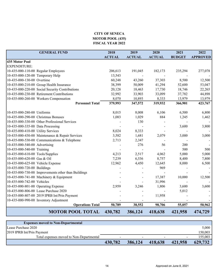## **CITY OF SENECA MOTOR POOL (435) FISCAL YEAR 2022**

<span id="page-14-0"></span>

| <b>GENERAL FUND</b>                                 | 2018          | 2019          | 2020          | 2021          | 2022            |
|-----------------------------------------------------|---------------|---------------|---------------|---------------|-----------------|
|                                                     | <b>ACTUAL</b> | <b>ACTUAL</b> | <b>ACTUAL</b> | <b>BUDGET</b> | <b>APPROVED</b> |
| 435 Motor Pool<br><b>EXPENDITURE:</b>               |               |               |               |               |                 |
| 10-435-000-110-00 Regular Employees                 | 206,613       | 191,045       | 182,173       | 235,294       | 277,078         |
| 10-435-000-120-00 Temporary Help                    | 13,543        |               |               |               |                 |
| 10-435-000-130-00 Overtime                          | 60,248        | 43,260        | 37,303        | 8,500         | 12,500          |
| 10-435-000-210-00 Group Health Insurance            | 38,399        | 50,009        | 41,294        | 52,600        | 53,047          |
| 10-435-000-220-00 Social Security Contributions     | 20,128        | 18,463        | 17,730        | 18,746        | 22,265          |
| 10-435-000-230-00 Retirement Contributions          | 32,992        | 33,903        | 33,099        | 37,782        | 44,898          |
| 10-435-000-260-00 Workers Compensation              | 8,070         | 10,893        | 8,333         | 13,979        | 13,979          |
| <b>Personnel Total</b>                              | 379,993       | 347,572       | 319,932       | 366,901       | 423,767         |
|                                                     |               |               |               |               |                 |
| 10-435-000-280-00 Uniforms                          | 8,015         | 8,008         | 6,106         | 6,500         | 6,800           |
| 10-435-000-290-00 Christmas Bonuses                 | 1,083         | 1,029         | 884           | 1,245         | 1,462           |
| 10-435-000-330-00 Other Professional Services       |               | 130           |               |               |                 |
| 10-435-000-335-00 Data Processing                   |               |               |               | 3,600         | 3,800           |
| 10-435-000-410-00 Utility Services                  | 8,024         | 8,333         |               |               |                 |
| 10-435-000-430-00 Maintenance & Repair Services     | 3,582         | 1,681         | 2,079         | 3,000         | 3,000           |
| 10-435-000-530-00 Communications & Telephone        | 2,713         | 2,347         |               |               |                 |
| 10-435-000-540-00 Advertising                       |               | 276           | 56            | 200           |                 |
| 10-435-000-540-00 Training                          |               |               |               | 500           | 500             |
| 10-435-000-610-00 Tools/Supplies                    | 4,213         | 2,517         | 4,062         | 5,000         | 5,000           |
| 10-435-000-620-00 Gas & Oil                         | 7,239         | 6,536         | 8,757         | 8,400         | 7,800           |
| 10-435-000-625-00 Vehicle Expense                   | 12,962        | 4,450         | 12,645        | 8,000         | 6,500           |
| 10-435-000-720-00 Buildings                         |               |               | 969           |               |                 |
| 10-435-000-730-00 Improvements other than Buildings |               |               |               |               |                 |
| 10-435-000-741-00 Machinery & Equipment             |               |               | 17,387        | 10,000        | 12,500          |
| 10-435-000-742-00 Vehicles                          |               |               | 31,996        |               |                 |
| 10-435-000-801-00 Operating Expense                 | 2,959         | 3,246         | 1,806         | 3,600         | 3,600           |
| 10-435-000-806-00 Lease Purchase 2020               |               |               |               | 5,012         |                 |
| 10-435-000-807-00 2019 IPRB Int/Prin Payment        |               |               | 11,958        |               |                 |
| 10-435-000-990-00 Inventory Adjustment              |               |               |               |               |                 |
| <b>Operations Total</b>                             | 50,789        | 38,552        | 98,706        | 55,057        | 50,962          |
| <b>MOTOR POOL TOTAL</b>                             | 430,782       | 386,124       | 418,638       | 421,958       | 474,729         |

| <b>Expenses moved to Non-Departmental</b> |                          |         |         |                          |         |
|-------------------------------------------|--------------------------|---------|---------|--------------------------|---------|
| Lease Purchase 2020                       |                          |         |         |                          | 5,000   |
| 2019 IPRB Int/Prin Payment                |                          |         |         |                          | 150,003 |
| Total expenses moved to Non-Departmental  | $\overline{\phantom{a}}$ |         |         | $\overline{\phantom{0}}$ | 155.003 |
|                                           | 430,782                  | 386,124 | 418,638 | 421,958                  | 629,732 |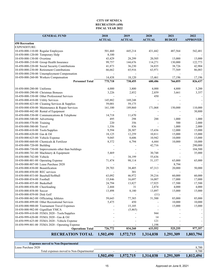#### **RECREATION (450) FISCAL YEAR 2022 CITY OF SENECA**

<span id="page-15-0"></span>

| <b>GENERAL FUND</b>                                 | 2018          | 2019          | 2020           | 2021          | 2022            |
|-----------------------------------------------------|---------------|---------------|----------------|---------------|-----------------|
|                                                     | <b>ACTUAL</b> | <b>ACTUAL</b> | <b>ACTUAL</b>  | <b>BUDGET</b> | <b>APPROVED</b> |
| <b>450 Recreation</b>                               |               |               |                |               |                 |
| <b>EXPENDITURE:</b>                                 |               |               |                |               |                 |
| 10-450-000-110-00 Regular Employees                 | 501,460       | 445,214       | 431,442        | 487,564       | 542,481         |
| 10-450-000-120-00 Temporary Help                    | 8,100         |               |                |               |                 |
| 10-450-000-130-00 Overtime                          | 43,429        | 28,299        | 20,505         | 15,000        | 15,000          |
| 10-450-000-210-00 Group Health Insurance            | 99,757        | 144,676       | 114,271        | 130,000       | 122,773         |
| 10-450-000-220-00 Social Security Contributions     | 41,873        | 36,230        | 34,835         | 38,726        | 42,904          |
| 10-450-000-230-00 Retirement Contributions          | 66,662        | 65,916        | 63,971         | 77,569        | 86,083          |
| 10-450-000-250-00 Umemployment Compensation         |               |               |                |               |                 |
| 10-450-000-260-00 Workers Compensation              | 14,438        | 18,120        | 15,461         | 17,196        | 17,196          |
| <b>Personnel Total</b>                              | 775,718       | 738,455       | 680,486        | 766,055       | 826,437         |
|                                                     |               |               |                |               |                 |
| 10-450-000-280-00 Uniforms                          | 4,000         | 3,800         | 4,000          | 4,800         | 5,200           |
| 10-450-000-290-00 Christmas Bonuses                 | 3,226         | 2,852         | 2,859          | 3,661         | 3,357           |
| 10-450-000-330-00 Other Professional Services       |               |               | 450            |               |                 |
| 10-450-000-410-00 Utility Services                  | 145,882       | 169,248       |                |               |                 |
| 10-450-000-423-00 Cleaning Services & Supplies      | 59,001        | 59,175        |                |               |                 |
| 10-450-000-430-00 Maintenance & Repair Services     | 161,100       | 189,860       | 171,068        | 150,000       | 110,000         |
| 10-450-000-442-00 Rental of Equipment               |               |               |                |               | 30,800          |
| 10-450-000-530-00 Communications & Telephone        | 14,718        | 11,670        |                |               |                 |
| 10-450-000-540-00 Advertising                       | 495           | 298           | 288            | 1,000         | 1,000           |
| 10-450-000-570-00 Training                          | 220           | 356           |                | 500           | 2,000           |
| 10-450-000-580-00 Travel                            | 1,556         | 836           |                | 1,000         | 2,000           |
| 10-450-000-610-00 Tools/Supplies                    | 9,594         | 20,307        | 15,436         | 12,000        | 15,000          |
| 10-450-000-620-00 Gas & Oil                         | 18,125        | 12,259        | 10,811         | 15,000        | 15,000          |
| 10-450-000-625-00 Vehicle Expense                   | 9,045         | 8,606         | 10,942         | 10,000        | 15,000          |
| 10-450-000-660-00 Chemicals & Fertilizer            | 8,372         | 6,794         | 6,444          | 10,000        | 10,000          |
| 10-450-000-720-00 Building                          |               |               | 42,716         |               | 290,000         |
| 10-450-000-730-00 Improvements other than buildings |               |               |                |               | 104,500         |
| 10-450-000-741-00 Machinery & Equipment             | 5,469         |               | 30,748         |               | 35,000          |
| 10-450-000-742-00 Vehicle                           |               | 38,199        | 55,636         |               |                 |
| 10-450-000-801-00 Operating Expense                 | 71,474        | 98,114        | 51,157         | 65,000        | 65,000          |
| 10-450-000-807-00 Lease Purchase 2020               |               |               |                | 8,794         |                 |
| 10-450-000-830-00 Beautification                    | 29,703        | 38,405        | 87,313         | 20,000        | 50,000          |
| 10-450-000-850-00 REC services                      |               | 301           | $\overline{a}$ |               |                 |
| 10-450-000-853-00 Baseball/Softball                 | 63,092        | 46,972        | 39,216         | 60,000        | 60,000          |
| 10-450-000-854-00 Football                          | 15,846        | 16,697        | 16,007         | 17,000        | 17,000          |
| 10-450-000-855-00 Basketball                        | 24,794        | 13,827        | 17,925         | 17,500        | 17,500          |
| 10-450-000-856-00 Cheerleading                      | 2,444         | 31            | 2,874          | 4,000         | 4,000           |
| 10-450-000-858-00 Soccer                            | 13,498        | 8,180         | 13,897         | 15,000        | 15,000          |
| 10-450-000-859-00 Disk Golf                         |               |               | (11)           |               |                 |
| 10-450-000-862-00 Officiating Athletes              | 59,643        | 77,385        | 51,500         | 85,000        | 85,000          |
| 10-450-000-899-00 Other Recreational Services       | 5,475         | 450           |                | 10,000        | 10,000          |
| 10-450-000-900-00 Tournament Travel Expenses        |               | 15,105        |                | 15,000        | 15,000          |
| 10-450-000-902-00 Gignilliatt YMCA                  |               | (5,465)       |                |               |                 |
| 10-450-999-610-00 FEMA 2020 - Tools/Supplies        |               |               | 944            |               |                 |
| 10-450-999-620-00 FEMA 2020 - Gas & Oil             |               |               | 14             |               |                 |
| 10-450-999-625-00 FEMA 2020 - Vehicle Expense       |               |               | 121            |               |                 |
| 10-450-999-801-00 FEMA 2020 - Operating Expense     |               |               | 1,198          |               |                 |
| <b>Operations Total</b>                             | 726,772       | 834,260       | 633,552        | 525,255       | 977,357         |
| <b>RECREATION TOTAL</b>                             | 1,502,490     | 1,572,715     | 1,314,038      | 1,291,309     | 1,803,794       |

| <b>Expenses moved to Non-Departmental</b> |           |           |                          |           |           |
|-------------------------------------------|-----------|-----------|--------------------------|-----------|-----------|
| Lease Purchase 2020                       |           |           |                          |           | 8,700     |
| Total expenses moved to Non-Departmental  |           |           | $\overline{\phantom{0}}$ |           | 8,700     |
|                                           | 1,502,490 | 1,572,715 | 1,314,038                | 1,291,309 | 1,812,494 |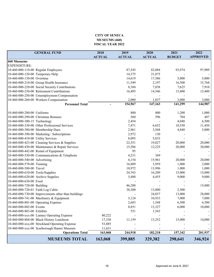#### **CITY OF SENECA MUSEUMS (460) FISCAL YEAR 2022**

<span id="page-16-0"></span>

| <b>GENERAL FUND</b>                                 | 2018          | 2019          | 2020          | 2021          | 2022            |
|-----------------------------------------------------|---------------|---------------|---------------|---------------|-----------------|
|                                                     | <b>ACTUAL</b> | <b>ACTUAL</b> | <b>ACTUAL</b> | <b>BUDGET</b> | <b>APPROVED</b> |
| <b>460 Musuems</b>                                  |               |               |               |               |                 |
| EXPENDITURE:                                        |               |               |               |               |                 |
| 10-460-000-110-00 Regular Employees                 |               | 87,545        | 82,084        | 93,974        | 97,909          |
| 10-460-000-120-00 Temporary Help                    |               | 14,375        | 21,875        |               |                 |
| 10-460-000-130-00 Overtime                          |               | 14,619        | 17,586        | 5,000         | 5,000           |
| 10-460-000-210-00 Group Health Insurance            |               | 11,549        | 2,197         | 16,300        | 15,768          |
| 10-460-000-220-00 Social Security Contributions     |               | 8,384         | 7,838         | 7,625         | 7,910           |
| 10-460-000-230-00 Retirement Contributions          |               | 16,495        | 14,546        | 15,400        | 15,400          |
| 10-460-000-250-00 Umemployment Compensation         |               |               |               |               |                 |
| 10-460-000-260-00 Workers Compensation              |               | 2,000         | 1,037         | 3,000         | 3,000           |
| <b>Personnel Total</b>                              |               | 154,967       | 147,163       | 141,299       | 144,987         |
| 10-460-000-280-00 Uniforms                          |               | 800           | 800           | 1,200         | 1,000           |
| 10-460-000-290-00 Christmas Bonuses                 |               | 560           | 596           | 704           | 487             |
| 10-460-000-300-15 Technology                        |               | 2,454         |               | 4,048         | 6,500           |
| 10-460-000-330-00 Other Professional Services       |               | 7,471         | 6,652         | 10,550        | 11,450          |
| 10-460-000-380-00 Membership Dues                   |               | 2,961         | 3,568         | 4,840         | 5,000           |
| 10-460-000-390-00 Marketing / Subscriptions         |               | 2,972         | 130           |               |                 |
| 10-460-000-410-00 Utility Services                  |               | 8,095         | 5,833         |               |                 |
| 10-460-000-423-00 Cleaning Services & Supplies      |               | 22,551        | 19,827        | 20,000        | 20,000          |
| 10-460-000-430-00 Maintenance & Repair Services     |               | 15,586        | 12,225        | 20,000        | 30,000          |
| 10-460-000-442-00 Rental of Equipment               |               | 95            |               |               |                 |
| 10-460-000-530-00 Communications & Telephone        |               | 4,231         | 369           |               |                 |
| 10-460-000-540-00 Advertising                       |               | 6,154         | 15,961        | 20,000        | 20,000          |
| 10-460-000-570-00 Training                          |               | 16,809        | 3,959         | 1,000         | 2,000           |
| 10-460-000-580-00 Travel                            |               | 10,972        | 13,996        | 1,000         | 1,000           |
| 10-460-000-610-00 Tools/Supplies                    |               | 24,763        | 16,209        | 15,000        | 15,000          |
| 10-460-000-620-00 Archive Supplies                  |               | 5,488         | 4,455         | 9,000         | 9,000           |
| 10-460-000-630-00 Food                              |               |               |               |               |                 |
| 10-460-000-720-00 Building                          |               | 46,288        |               |               | 15,000          |
| 10-460-000-720-01 Faith Log Cabin                   |               | 38,300        | 13,000        | 2,500         |                 |
| 10-460-000-730-00 Improvements other than buildings |               |               | 24,037        | 13,000        | 28,000          |
| 10-460-000-741-00 Machinery & Equipment             |               | 5,124         | 10,933        | 7,000         | 7,000           |
| 10-460-000-801-00 Operating Expense                 |               | 2,683         | 1,548         | 6,500         | 6,500           |
| 10-460-000-802-00 Events                            |               | 8,851         | 13,327        | 6,000         | 10,000          |
| 10-460-000-803-00 Exhibits                          |               | 551           | 1,543         |               |                 |
| 10-460-000-xxx-00 Lunney Operating Expense          | 80,222        |               |               |               |                 |
| 10-460-000-804-00 Black History Luncheon            | 17,330        | 11,159        | 13,252        | 15,000        | 14,000          |
| 10-460-000-xxx-00 Strickland Operating Expense      | 53,885        |               |               |               |                 |
| 10-460-000-xxx-00 Scarborough Hamer Museum          | 11,631        |               |               |               |                 |
| <b>Operations Total</b>                             | 163,068       | 244,918       | 182,218       | 157,342       | 201,937         |
| <b>MUSEUMS TOTAL</b>                                | 163,068       | 399,885       | 329,382       | 298,641       | 346,924         |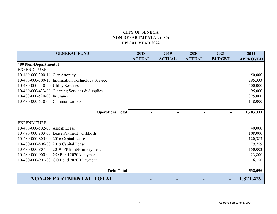## **CITY OF SENECANON-DEPARTMENTAL (480) FISCAL YEAR 2022**

<span id="page-17-0"></span>

| <b>GENERAL FUND</b>                              | 2018          | 2019          | 2020          | 2021          | 2022            |
|--------------------------------------------------|---------------|---------------|---------------|---------------|-----------------|
|                                                  | <b>ACTUAL</b> | <b>ACTUAL</b> | <b>ACTUAL</b> | <b>BUDGET</b> | <b>APPROVED</b> |
| 480 Non-Departmental                             |               |               |               |               |                 |
| <b>EXPENDITURE:</b>                              |               |               |               |               |                 |
| 10-480-000-300-14 City Attorney                  |               |               |               |               | 50,000          |
| 10-480-000-300-15 Information Technology Service |               |               |               |               | 295,333         |
| 10-480-000-410-00 Utility Services               |               |               |               |               | 400,000         |
| 10-480-000-423-00 Cleaning Services & Supplies   |               |               |               |               | 95,000          |
| 10-480-000-520-00 Insurance                      |               |               |               |               | 325,000         |
| 10-480-000-530-00 Communications                 |               |               |               |               | 118,000         |
|                                                  |               |               |               |               |                 |
| <b>Operations Total</b>                          |               |               |               |               | 1,283,333       |
|                                                  |               |               |               |               |                 |
| <b>EXPENDITURE:</b>                              |               |               |               |               |                 |
| 10-480-000-802-00 Airpak Lease                   |               |               |               |               | 40,000          |
| 10-480-000-803-00 Lease Payment - Oshkosh        |               |               |               |               | 108,000         |
| 10-480-000-805-00 2016 Capital Lease             |               |               |               |               | 120,383         |
| 10-480-000-806-00 2019 Capital Lease             |               |               |               |               | 79,759          |
| 10-480-000-807-00 2019 IPRB Int/Prin Payment     |               |               |               |               | 150,003         |
| 10-480-000-900-00 GO Bond 2020A Payment          |               |               |               |               | 23,800          |
| 10-480-000-901-00 GO Bond 2020B Payment          |               |               |               |               | 16,150          |
|                                                  |               |               |               |               |                 |
| <b>Debt Total</b>                                |               |               |               |               | 538,096         |
| <b>NON-DEPARTMENTAL TOTAL</b>                    |               |               |               |               | 1,821,429       |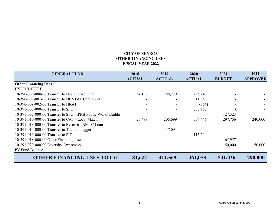## **CITY OF SENECAOTHER FINANCING USESFISCAL YEAR 2022**

<span id="page-18-0"></span>

| <b>GENERAL FUND</b>                                           | 2018          | 2019          | 2020          | 2021          | 2022            |
|---------------------------------------------------------------|---------------|---------------|---------------|---------------|-----------------|
|                                                               | <b>ACTUAL</b> | <b>ACTUAL</b> | <b>ACTUAL</b> | <b>BUDGET</b> | <b>APPROVED</b> |
| <b>Other Financing Uses</b>                                   |               |               |               |               |                 |
| <b>EXPENDITURE:</b>                                           |               |               |               |               |                 |
| 10-390-009-000-00 Transfer to Health Care Fund                | 54,136        | 188,779       | 295,248       |               |                 |
| 10-390-009-001-00 Transfer to DENTAL Care Fund                |               |               | 11,053        |               |                 |
| 10-390-009-002-00 Transfer to HRA1                            |               |               | (864)         |               |                 |
| 10-391-007-000-00 Transfer to SFC                             |               |               | 535,965       | $\Omega$      |                 |
| 10-391-007-000-00 Transfer to SFC - IPRB Public Works Buildir |               |               |               | 127,323       |                 |
| 10-391-010-000-00 Transfer to CAT - Local Match               | 27,488        | 205,699       | 504,446       | 297,756       | 240,000         |
| 10-391-013-000-00 Transfer to Reserve - NMTC Loan             |               |               |               |               |                 |
| 10-391-014-000-00 Transfer to Transit - Tigger                |               | 17,091        |               |               |                 |
| 10-391-016-000-00 Transfer to SIC                             |               |               | 115,204       |               |                 |
| 10-391-018-000-00 Other Financing Uses                        |               |               |               | 65,957        |                 |
| 10-391-020-000-00 Diversity Awareness                         |               |               |               | 50,000        | 50,000          |
| <b>PY Fund Balance</b>                                        |               |               |               |               |                 |
| <b>OTHER FINANCING USES TOTAL</b>                             | 81,624        | 411,569       | 1,461,053     | 541,036       | 290,000         |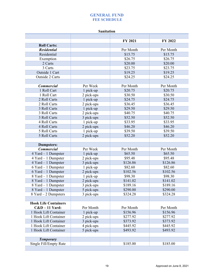**Sanitation** 

<span id="page-19-0"></span>

|                             |            | FY 2021                | FY 2022   |
|-----------------------------|------------|------------------------|-----------|
| <b>Roll Carts:</b>          |            |                        |           |
| <b>Residential</b>          |            | Per Month<br>Per Month |           |
| Residential                 |            | \$15.75                | \$15.75   |
| Exemption                   |            | \$26.75                | \$26.75   |
| 2 Carts                     |            | \$20.00                | \$20.00   |
| 3 Carts                     |            | \$23.75                | \$23.75   |
| Outside 1 Cart              |            | \$19.25                | \$19.25   |
| Outside 2 Carts             |            | \$24.25                | \$24.25   |
|                             |            |                        |           |
| <b>Commercial</b>           | Per Week   | Per Month              | Per Month |
| 1 Roll Cart                 | 1 pick-up  | \$20.75                | \$20.75   |
| 1 Roll Cart                 | 2 pick-ups | \$30.50                | \$30.50   |
| 2 Roll Carts                | 1 pick-up  | \$24.75                | \$24.75   |
| 2 Roll Carts                | 2 pick-ups | \$36.45                | \$36.45   |
| 3 Roll Carts                | 1 pick-up  | \$29.50                | \$29.50   |
| 3 Roll Carts                | 2 pick-ups | \$40.75                | \$40.75   |
| 3 Roll Carts                | 3 pick-ups | \$52.50                | \$52.50   |
| 4 Roll Carts                | 1 pick-up  | \$33.95                | \$33.95   |
| 4 Roll Carts                | 2 pick-ups | \$46.20                | \$46.20   |
| 5 Roll Carts                | 1 pick-up  | \$39.50                | \$39.50   |
| 5 Roll Carts                | 2 pick-ups | \$52.20                | \$52.20   |
|                             |            |                        |           |
| <b>Dumpsters:</b>           |            |                        |           |
| <b>Commercial</b>           | Per Week   | Per Month              | Per Month |
| 4 Yard - 1 Dumpster         | 1 pick-up  | \$65.50                | \$65.50   |
| $4$ Yard $-1$ Dumpster      | 2 pick-ups | \$95.48                | \$95.48   |
| $4$ Yard $-1$ Dumpster      | 3 pick-ups | \$126.86               | \$126.86  |
| $6$ Yard $-1$ Dumpster      | 1 pick-up  | \$82.60                | \$82.60   |
| 6 Yard - 1 Dumpster         | 2 pick-ups | \$102.56               | \$102.56  |
| 8 Yard - 1 Dumpster         | 1 pick-up  | \$98.30                | \$98.30   |
| 8 Yard - 1 Dumpster         | 2 pick-ups | \$141.02               | \$141.02  |
| 8 Yard - 1 Dumpster         | 3 pick-ups | \$189.16               | \$189.16  |
| 8 Yard – 1 Dumpster         | 5 pick-ups | \$290.00               | \$290.00  |
| $8$ Yard $-2$ Dumpsters     | 3 pick-ups | \$324.28               | \$324.28  |
|                             |            |                        |           |
| <b>Hook Life Containers</b> |            |                        |           |
| $C&D-11$ Yard:              | Per Month  | Per Month              | Per Month |
| 1 Hook Lift Container       | 1 pick-up  | \$156.96               | \$156.96  |
| 1 Hook Lift Container       | 2 pick-ups | \$277.92               | \$277.92  |
| 1 Hook Lift Container       | 3 pick-ups | \$373.92               | \$373.92  |
| 1 Hook Lift Container       | 4 pick-ups | \$445.92               | \$445.92  |
| 1 Hook Lift Container       | 5 pick-ups | \$493.92               | \$493.92  |
|                             |            |                        |           |
| <b>Temporary</b>            |            |                        |           |
| Single Fill/Empty Rate      |            | \$185.00               | \$185.00  |
|                             |            |                        |           |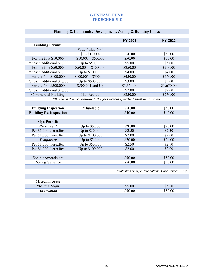|                             |                       | <b>FY 2021</b> | FY 2022    |
|-----------------------------|-----------------------|----------------|------------|
| <b>Building Permit:</b>     |                       |                |            |
|                             | Total Valuation*      |                |            |
|                             | $$0 - $10,000$        | \$50.00        | \$50.00    |
| For the first $$10,000$     | $$10,001 - $50,000$   | \$50.00        | \$50.00    |
| Per each additional \$1,000 | Up to \$50,000        | \$5.00         | \$5.00     |
| For the first \$50,000      | $$50,001 - $100,000$  | \$250.00       | \$250.00   |
| Per each additional \$1,000 | Up to \$100,000       | \$4.00         | \$4.00     |
| For the first \$100,000     | $$100,001 - $500,000$ | \$450.00       | \$450.00   |
| Per each additional \$1,000 | Up to \$500,000       | \$3.00         | \$3.00     |
| For the first $$500,000$    | \$500,001 and Up      | \$1,650.00     | \$1,650.00 |
| Per each additional \$1,000 |                       | \$2.00         | \$2.00     |
| <b>Commercial Building</b>  | Plan Review           | \$250.00       | \$250.00   |
|                             |                       |                |            |

*\*If a permit is not obtained, the fees herein specified shall be doubled.*

| <b>Building Inspection</b>    | Refundable      | \$50.00 | \$50.00 |  |
|-------------------------------|-----------------|---------|---------|--|
| <b>Building Re-Inspection</b> |                 | \$40.00 | \$40.00 |  |
|                               |                 |         |         |  |
| <b>Sign Permit:</b>           |                 |         |         |  |
| <b>Permanent</b>              | Up to $$5,000$  | \$20.00 | \$20.00 |  |
| Per \$1,000 thereafter        | Up to \$50,000  | \$2.50  | \$2.50  |  |
| Per \$1,000 thereafter        | Up to \$100,000 | \$2.00  | \$2.00  |  |
| <b>Temporary</b>              | Up to \$5,000   | \$20.00 | \$20.00 |  |
| Per \$1,000 thereafter        | Up to \$50,000  | \$2.50  | \$2.50  |  |
| Per \$1,000 thereafter        | Up to \$100,000 | \$2.00  | \$2.00  |  |
|                               |                 |         |         |  |
| Zoning Amendment              |                 | \$50.00 | \$50.00 |  |
| Zoning Variance               |                 | \$50.00 | \$50.00 |  |
|                               |                 |         |         |  |

*\*Valuation Data per International Code Council (ICC)*

| <b>Miscellaneous:</b>    |         |         |
|--------------------------|---------|---------|
| <b>Election Signs</b>    | \$5.00  | \$5.00  |
| <i><b>Annexation</b></i> | \$50.00 | \$50.00 |
|                          |         |         |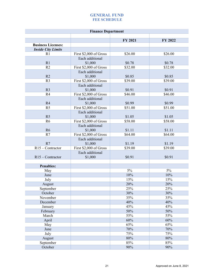| <b>Finance Department</b> |                        |         |         |
|---------------------------|------------------------|---------|---------|
|                           |                        | FY 2021 | FY 2022 |
| <b>Business Licenses:</b> |                        |         |         |
| <b>Inside City Limits</b> |                        |         |         |
| R <sub>1</sub>            | First \$2,000 of Gross | \$26.00 | \$26.00 |
|                           | Each additional        |         |         |
| R1                        | \$1,000                | \$0.78  | \$0.78  |
| R <sub>2</sub>            | First \$2,000 of Gross | \$32.00 | \$32.00 |
|                           | Each additional        |         |         |
| R2                        | \$1,000                | \$0.85  | \$0.85  |
| R <sub>3</sub>            | First \$2,000 of Gross | \$39.00 | \$39.00 |
|                           | Each additional        |         |         |
| R <sub>3</sub>            | \$1,000                | \$0.91  | \$0.91  |
| R <sub>4</sub>            | First \$2,000 of Gross | \$46.00 | \$46.00 |
|                           | Each additional        |         |         |
| R4                        | \$1,000                | \$0.99  | \$0.99  |
| R <sub>5</sub>            | First \$2,000 of Gross | \$51.00 | \$51.00 |
|                           | Each additional        |         |         |
| R <sub>5</sub>            | \$1,000                | \$1.05  | \$1.05  |
| R <sub>6</sub>            | First \$2,000 of Gross | \$58.00 | \$58.00 |
|                           | Each additional        |         |         |
| R <sub>6</sub>            | \$1,000                | \$1.11  | \$1.11  |
| R7                        | First \$2,000 of Gross | \$64.00 | \$64.00 |
|                           | Each additional        |         |         |
| R7                        | \$1,000                | \$1.19  | \$1.19  |
| $R15 -$ Contractor        | First \$2,000 of Gross | \$39.00 | \$39.00 |
|                           | Each additional        |         |         |
| $R15 -$ Contractor        | \$1,000                | \$0.91  | \$0.91  |
| <b>Penalties:</b>         |                        |         |         |
| May                       |                        | $5\%$   | $5\%$   |
| June                      |                        | 10%     | 10%     |
| July                      |                        | 15%     | 15%     |
| August                    |                        | 20%     | 20%     |
| September                 |                        | 25%     | 25%     |
| October                   |                        | 30%     | 30%     |
| November                  |                        | 35%     | 35%     |
| December                  |                        | 40%     | 40%     |
| January                   |                        | 45%     | 45%     |
| February                  |                        | 50%     | 50%     |
| March                     |                        | 55%     | 55%     |
| April                     |                        | 60%     | 60%     |
| May                       |                        | 65%     | 65%     |
| June                      |                        | 70%     | 70%     |
| July                      |                        | 75%     | 75%     |
| August                    |                        | $80\%$  | $80\%$  |
| September                 |                        | 85%     | 85%     |
| October                   |                        | 90%     | 90%     |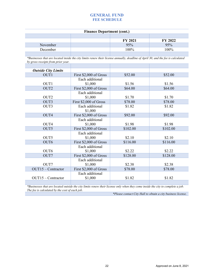#### **Finance Department (cont.)**

|          | FY 2021 | FY 2022 |
|----------|---------|---------|
| November | 95%     | 95%     |
| December | 100%    | 100%    |
|          |         |         |

*\*Businesses that are located inside the city limits renew their license annually, deadline of April 30, and the fee is calculated by gross receipts from prior year.*

| <b>Outside City Limits</b> |                        |          |          |
|----------------------------|------------------------|----------|----------|
| OUT1                       | First \$2,000 of Gross | \$52.00  | \$52.00  |
|                            | Each additional        |          |          |
| OUT <sub>1</sub>           | \$1,000                | \$1.56   | \$1.56   |
| OUT <sub>2</sub>           | First \$2,000 of Gross | \$64.00  | \$64.00  |
|                            | Each additional        |          |          |
| OUT <sub>2</sub>           | \$1,000                | \$1.70   | \$1.70   |
| OUT3                       | First \$2,000 of Gross | \$78.00  | \$78.00  |
| OUT3                       | Each additional        | \$1.82   | \$1.82   |
|                            | \$1,000                |          |          |
| OUT4                       | First \$2,000 of Gross | \$92.00  | \$92.00  |
|                            | Each additional        |          |          |
| OUT <sub>4</sub>           | \$1,000                | \$1.98   | \$1.98   |
| OUT5                       | First \$2,000 of Gross | \$102.00 | \$102.00 |
|                            | Each additional        |          |          |
| OUT5                       | \$1,000                | \$2.10   | \$2.10   |
| OUT6                       | First \$2,000 of Gross | \$116.00 | \$116.00 |
|                            | Each additional        |          |          |
| OUT <sub>6</sub>           | \$1,000                | \$2.22   | \$2.22   |
| OUT7                       | First \$2,000 of Gross | \$128.00 | \$128.00 |
|                            | Each additional        |          |          |
| OUT7                       | \$1,000                | \$2.38   | \$2.38   |
| $OUT15 - Contractor$       | First \$2,000 of Gross | \$78.00  | \$78.00  |
|                            | Each additional        |          |          |
| $OUT15 - Contractor$       | \$1,000                | \$1.82   | \$1.82   |
|                            |                        |          |          |

*\*Businesses that are located outside the city limits renew their license only when they come inside the city to complete a job. The fee is calculated by the cost of each job.*

*\*Please contact City Hall to obtain a city business license.*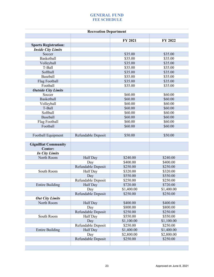|                    | FY 2021<br>\$35.00 | FY 2022                                                                                                               |
|--------------------|--------------------|-----------------------------------------------------------------------------------------------------------------------|
|                    |                    |                                                                                                                       |
|                    |                    |                                                                                                                       |
|                    |                    |                                                                                                                       |
|                    |                    | \$35.00                                                                                                               |
|                    | \$35.00            | \$35.00                                                                                                               |
|                    | \$35.00            | \$35.00                                                                                                               |
|                    | \$35.00            | \$35.00                                                                                                               |
|                    | \$35.00            | \$35.00                                                                                                               |
|                    | \$35.00            | \$35.00                                                                                                               |
|                    |                    | \$35.00                                                                                                               |
|                    |                    | \$35.00                                                                                                               |
|                    |                    |                                                                                                                       |
|                    |                    | \$60.00                                                                                                               |
|                    |                    | \$60.00                                                                                                               |
|                    |                    | \$60.00                                                                                                               |
|                    |                    | \$60.00                                                                                                               |
|                    |                    | \$60.00                                                                                                               |
|                    |                    | \$60.00                                                                                                               |
|                    |                    | \$60.00                                                                                                               |
|                    |                    | \$60.00                                                                                                               |
|                    |                    |                                                                                                                       |
|                    |                    | \$50.00                                                                                                               |
|                    |                    |                                                                                                                       |
|                    |                    |                                                                                                                       |
|                    |                    |                                                                                                                       |
| Half Day           | \$240.00           | \$240.00                                                                                                              |
| Day                | \$400.00           | \$400.00                                                                                                              |
| Refundable Deposit | \$250.00           | \$250.00                                                                                                              |
| Half Day           | \$320.00           | \$320.00                                                                                                              |
| Day                | \$550.00           | \$550.00                                                                                                              |
| Refundable Deposit | \$250.00           | \$250.00                                                                                                              |
| Half Day           | \$720.00           | \$720.00                                                                                                              |
| Day                | \$1,400.00         | \$1,400.00                                                                                                            |
| Refundable Deposit | \$250.00           | \$250.00                                                                                                              |
|                    |                    |                                                                                                                       |
| Half Day           | \$400.00           | \$400.00                                                                                                              |
| Day                | \$800.00           | \$800.00                                                                                                              |
| Refundable Deposit | \$250.00           | \$250.00                                                                                                              |
| Half Day           | \$550.00           | \$550.00                                                                                                              |
| Day                | \$1,100.00         | \$1,100.00                                                                                                            |
| Refundable Deposit | \$250.00           | \$250.00                                                                                                              |
| Half Day           | \$1,400.00         | \$1,400.00                                                                                                            |
| Day                | \$2,800.00         | \$2,800.00                                                                                                            |
| Refundable Deposit | \$250.00           | \$250.00                                                                                                              |
|                    | Refundable Deposit | \$35.00<br>\$35.00<br>\$60.00<br>\$60.00<br>\$60.00<br>\$60.00<br>\$60.00<br>\$60.00<br>\$60.00<br>\$60.00<br>\$50.00 |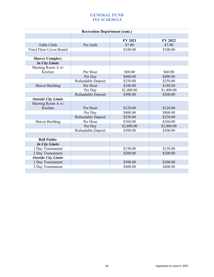| <b>Recreation Department (cont.)</b> |                    |            |            |  |
|--------------------------------------|--------------------|------------|------------|--|
|                                      |                    |            |            |  |
|                                      |                    | FY 2021    | FY 2022    |  |
| Table Cloth                          | Per cloth          | \$7.00     | \$7.00     |  |
| Vinyl Floor Cover Rental             |                    | \$100.00   | \$100.00   |  |
|                                      |                    |            |            |  |
| <b>Shaver Complex:</b>               |                    |            |            |  |
| <b>In City Limits</b>                |                    |            |            |  |
| Meeting Room A w/                    |                    |            |            |  |
| Kitchen                              | Per Hour           | \$60.00    | \$60.00    |  |
|                                      | Per Day            | \$400.00   | \$400.00   |  |
|                                      | Refundable Deposit | \$250.00   | \$250.00   |  |
| <b>Shaver Building</b>               | Per Hour           | \$180.00   | \$180.00   |  |
|                                      | Per Day            | \$1,400.00 | \$1,400.00 |  |
|                                      | Refundable Deposit | \$500.00   | \$500.00   |  |
| <b>Outside City Limits</b>           |                    |            |            |  |
| Meeting Room A w/                    |                    |            |            |  |
| Kitchen                              | Per Hour           | \$120.00   | \$120.00   |  |
|                                      | Per Day            | \$800.00   | \$800.00   |  |
|                                      | Refundable Deposit | \$250.00   | \$250.00   |  |
| <b>Shaver Building</b>               | Per Hour           | \$360.00   | \$360.00   |  |
|                                      | Per Day            | \$2,800.00 | \$2,800.00 |  |
|                                      | Refundable Deposit | \$500.00   | \$500.00   |  |
|                                      |                    |            |            |  |
| <b>Ball Fields:</b>                  |                    |            |            |  |
| <b>In City Limits</b>                |                    |            |            |  |
| 1 Day Tournament                     |                    | \$150.00   | \$150.00   |  |
| 2 Day Tournament                     |                    | \$200.00   | \$200.00   |  |
| <b>Outside City Limits</b>           |                    |            |            |  |
| 1 Day Tournament                     |                    | \$300.00   | \$300.00   |  |
| 2 Day Tournament                     |                    | \$400.00   | \$400.00   |  |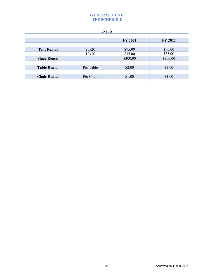| <b>Events</b>       |           |                |          |  |
|---------------------|-----------|----------------|----------|--|
|                     |           |                |          |  |
|                     |           | <b>FY 2021</b> | FY 2022  |  |
|                     |           |                |          |  |
| <b>Tent Rental</b>  | 20x20     | \$75.00        | \$75.00  |  |
|                     | 10x10     | \$35.00        | \$35.00  |  |
| <b>Stage Rental</b> |           | \$300.00       | \$300.00 |  |
|                     |           |                |          |  |
| <b>Table Rental</b> | Per Table | \$2.00         | \$2.00   |  |
|                     |           |                |          |  |
| <b>Chair Rental</b> | Per Chair | \$1.00         | \$1.00   |  |
|                     |           |                |          |  |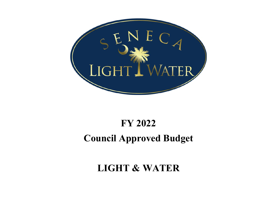<span id="page-26-0"></span>

## **FY 2022 Council Approved Budget**

## **LIGHT & WATER**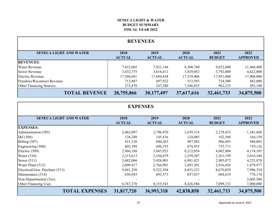## **FISCAL YEAR 2022 BUDGET SUMMARY SENECA LIGHT & WATER**

<span id="page-27-0"></span>

| <b>REVENUES</b>                |                       |                       |                       |                       |                         |
|--------------------------------|-----------------------|-----------------------|-----------------------|-----------------------|-------------------------|
| <b>SENECA LIGHT AND WATER</b>  | 2018<br><b>ACTUAL</b> | 2019<br><b>ACTUAL</b> | 2020<br><b>ACTUAL</b> | 2021<br><b>BUDGET</b> | 2022<br><b>APPROVED</b> |
| <b>REVENUES:</b>               |                       |                       |                       |                       |                         |
| <b>Water Revenue</b>           | 7,033,085             | 7,921,146             | 8,308,740             | 9,032,000             | 11,460,400              |
| Sewer Revenue                  | 3,432,375             | 3,616,611             | 3,929,052             | 3,792,000             | 4,622,000               |
| Electric Revenue               | 17,304,041            | 17,694,438            | 17,319,406            | 17,951,000            | 17,908,000              |
| Penalties/Reconnect Revenue    | 712,887               | 697,922               | 513,593               | 724,500               | 682,000                 |
| <b>Other Financing Sources</b> | 273,478               | 247,380               | 7,546,825             | 962,233               | 203,100                 |
| <b>TOTAL REVENUE</b>           | 28,755,866            | 30,177,497            | 37,617,616            | 32,461,733            | 34,875,500              |

| <b>EXPENSES</b>                |                       |                       |                       |                       |                         |  |  |  |
|--------------------------------|-----------------------|-----------------------|-----------------------|-----------------------|-------------------------|--|--|--|
| <b>SENECA LIGHT AND WATER</b>  | 2018<br><b>ACTUAL</b> | 2019<br><b>ACTUAL</b> | 2020<br><b>ACTUAL</b> | 2021<br><b>BUDGET</b> | 2022<br><b>APPROVED</b> |  |  |  |
| <b>EXPENSES:</b>               |                       |                       |                       |                       |                         |  |  |  |
| Administration (505)           | 2,062,097             | 2,796,970             | 2,659,318             | 2,278,832             | 1,341,868               |  |  |  |
| I&I(506)                       | 138,248               | 145,416               | 124,085               | 162,560               | 164,158                 |  |  |  |
| Billing (507)                  | 821,120               | 840,263               | 907,582               | 906,493               | 944,003                 |  |  |  |
| Engineering (508)              | 603,399               | 696,755               | 874,935               | 753,771               | 759,126                 |  |  |  |
| Electric (509)                 | 2,966,188             | 3,843,923             | 8,212,054             | 4,002,800             | 4,174,105               |  |  |  |
| Water $(510)$                  | 2,215,613             | 2,104,679             | 2,259,307             | 2,261,199             | 2,016,348               |  |  |  |
| Sewer $(511)$                  | 3,042,066             | 5,426,901             | 6,981,421             | 2,905,872             | 4,223,878               |  |  |  |
| Water Plant (512)              | 2,609,417             | 2,766,901             | 2,683,301             | 2,816,426             | 1,879,977               |  |  |  |
| Electrical/Gen. Purchase (513) | 9,941,250             | 9,522,394             | 8,853,233             | 8,670,029             | 7,996,354               |  |  |  |
| Maintenance (514)              | 650,943               | 693,573               | 857,037               | 604,619               | 770,176                 |  |  |  |
| Non-Departmental (5xx)         |                       |                       |                       |                       | 3,605,508               |  |  |  |
| Other Financing Uses           | 6,767,378             | 8,155,543             | 8,426,586             | 7,099,133             | 7,000,000               |  |  |  |
| <b>TOTAL EXPENSES</b>          | 31,817,720            | 36,993,318            | 42,838,858            | 32,461,733            | 34,875,500              |  |  |  |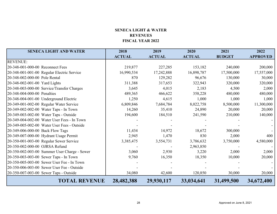## **SENECA LIGHT & WATERREVENUES FISCAL YEAR 2022**

<span id="page-28-0"></span>

| <b>SENECA LIGHT AND WATER</b>                | 2018          | 2019          | 2020          | 2021          | 2022            |
|----------------------------------------------|---------------|---------------|---------------|---------------|-----------------|
|                                              | <b>ACTUAL</b> | <b>ACTUAL</b> | <b>ACTUAL</b> | <b>BUDGET</b> | <b>APPROVED</b> |
| <b>REVENUE:</b>                              |               |               |               |               |                 |
| 20-348-001-000-00 Reconnect Fees             | 219,877       | 227,285       | 153,182       | 240,000       | 200,000         |
| 20-348-001-001-00 Regular Electric Service   | 16,990,534    | 17,242,888    | 16,898,787    | 17,500,000    | 17,557,000      |
| 20-348-002-000-00 Pole Rental                | 870           | 129,282       | 96,676        | 130,000       | 30,000          |
| 20-348-002-001-00 Yard Lights                | 311,388       | 317,653       | 322,943       | 320,000       | 320,000         |
| 20-348-003-000-00 Service/Transfer Charges   | 3,645         | 4,015         | 2,183         | 4,500         | 2,000           |
| 20-348-004-000-00 Penalties                  | 489,365       | 466,622       | 358,228       | 480,000       | 480,000         |
| 20-348-004-001-00 Underground Electric       | 1,250         | 4,615         | 1,000         | 1,000         | 1,000           |
| 20-349-001-002-00 Regular Water Service      | 6,809,846     | 7,684,784     | 8,022,758     | 8,500,000     | 11,300,000      |
| 20-349-002-002-00 Water Taps - In Town       | 14,260        | 35,410        | 24,890        | 20,000        | 20,000          |
| 20-349-003-002-00 Water Taps - Outside       | 194,600       | 184,510       | 241,590       | 210,000       | 140,000         |
| 20-349-004-002-00 Water User Fees - In Town  |               |               |               |               |                 |
| 20-349-005-002-00 Water User Fees - Outside  |               |               |               |               |                 |
| 20-349-006-000-00 Back Flow Tags             | 11,434        | 14,972        | 18,672        | 300,000       |                 |
| 20-349-007-000-00 Hydrant Usage Permit       | 2,945         | 1,470         | 830           | 2,000         | 400             |
| 20-350-001-003-00 Regular Sewer Service      | 3,385,475     | 3,554,731     | 3,786,632     | 3,750,000     | 4,580,000       |
| 20-350-002-000-00 OJRSA Refund               |               |               | 2,963,850     |               |                 |
| 20-350-002-003-00 Summer User Charge - Sewer | 3,060         | 2,930         | 3,220         | 2,000         | 2,000           |
| 20-350-003-003-00 Sewer Taps - In Town       | 9,760         | 16,350        | 18,350        | 10,000        | 20,000          |
| 20-350-005-003-00 Sewer User Fee - In Town   |               |               |               |               |                 |
| 20-350-006-003-00 Sewer User Fee - Outside   |               |               |               |               |                 |
| 20-350-007-003-00 Sewer Taps - Outside       | 34,080        | 42,600        | 120,850       | 30,000        | 20,000          |
| <b>TOTAL REVENUE</b>                         | 28,482,388    | 29,930,117    | 33,034,641    | 31,499,500    | 34,672,400      |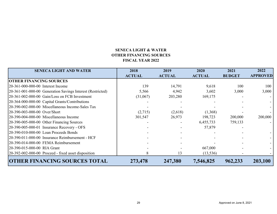## **SENECA LIGHT & WATEROTHER FINANCING SOURCES FISCAL YEAR 2022**

<span id="page-29-0"></span>

| <b>SENECA LIGHT AND WATER</b>                              | 2018<br><b>ACTUAL</b> | 2019<br><b>ACTUAL</b> | 2020<br><b>ACTUAL</b> | 2021<br><b>BUDGET</b>    | 2022<br><b>APPROVED</b> |
|------------------------------------------------------------|-----------------------|-----------------------|-----------------------|--------------------------|-------------------------|
| <b>OTHER FINANCING SOURCES</b>                             |                       |                       |                       |                          |                         |
| 20-361-000-000-00 Interest Income                          | 139                   | 14,791                | 9,618                 | 100                      | 100                     |
| 20-361-001-000-00 Generation Savings Interest (Restricted) | 5,566                 | 4,942                 | 3,602                 | 3,000                    | 3,000                   |
| 20-361-002-000-00 Gain/Loss on FCB Investment              | (31,067)              | 203,280               | 169,175               | $\overline{\phantom{a}}$ |                         |
| 20-364-000-000-00 Capital Grants/Contributions             |                       |                       |                       |                          |                         |
| 20-390-002-000-00 Miscellaneous Income-Sales Tax           |                       |                       |                       |                          |                         |
| 20-390-003-000-00 Over/Short                               | (2,715)               | (2,618)               | (1,368)               |                          |                         |
| 20-390-004-000-00 Miscellaneous Income                     | 301,547               | 26,973                | 198,723               | 200,000                  | 200,000                 |
| 20-390-005-000-00 Other Financing Sources                  |                       |                       | 6,455,733             | 759,133                  |                         |
| 20-390-005-000-01 Insurance Recovery - OFS                 |                       |                       | 57,879                |                          |                         |
| 20-390-010-000-00 Loan Proceeds Bonds                      |                       |                       |                       |                          |                         |
| 20-390-011-000-00 Insurance Reimbursement - HCF            |                       |                       |                       |                          |                         |
| 20-390-014-000-00 FEMA Reimbursement                       |                       |                       |                       |                          |                         |
| 20-390-015-000-00 RIA Grant                                |                       |                       | 667,000               |                          |                         |
| 20-392-002-000-00 Proceed - fixed asset disposition        | 8                     | 13                    | (13, 536)             |                          |                         |
| <b>OTHER FINANCING SOURCES TOTAL</b>                       | 273,478               | 247,380               | 7,546,825             | 962,233                  | 203,100                 |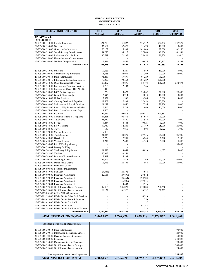#### **SENECA LIGHT & WATER ADMINISTRATION FISCAL YEAR 2022**

<span id="page-30-0"></span>

| <b>SENECA LIGHT AND WATER</b>                                                            | 2018              | 2019              | 2020                     | 2021             | 2022              |
|------------------------------------------------------------------------------------------|-------------------|-------------------|--------------------------|------------------|-------------------|
|                                                                                          | <b>ACTUAL</b>     | <b>ACTUAL</b>     | <b>ACTUAL</b>            | <b>BUDGET</b>    | <b>APPROVED</b>   |
| 505 L&W Admin                                                                            |                   |                   |                          |                  |                   |
| <b>EXPENDITURE:</b>                                                                      |                   |                   |                          |                  |                   |
| 20-505-000-110-00 Regular Employees                                                      | 521,778           | 451,822           | 536,719                  | 522,332          | 537,275<br>10,000 |
| 20-505-000-130-00 Overtime<br>20-505-000-210-00 Group Health Insurance                   | 33,682<br>70,152  | 37,020<br>125,909 | 11,475<br>142,049        | 10,000<br>92,000 | 102,256           |
| 20-505-000-220-00 Social Security Contributions                                          | 34,275            | 38,112            | 37,063                   | 40,856           | 41,991            |
| 20-505-000-230-00 Retirement Contributions                                               | 95,739            | 72,185            | 75,054                   | 80,338           | 82,616            |
| 20-505-000-250-00 Unemployment Compensation                                              |                   |                   |                          |                  |                   |
| 20-505-000-260-00 Workers Compensation                                                   | 7,421             | 10,456            | 10,615                   | 12,357           | 12,357            |
| <b>Personnel Total</b>                                                                   | 763,048           | 735,504           | 812,975                  | 757,883          | 786,495           |
|                                                                                          |                   |                   |                          |                  |                   |
| 20-505-000-280-00 Uniforms                                                               | 17,626            | 14,249            | 13,960                   | 10,000           | 5,000             |
| 20-505-000-290-00 Christmas Party & Bonuses                                              | 13,885            | 22,951            | 28,300                   | 22,000           | 22,000            |
| 20-505-000-300-13 Independent Audit                                                      | 71,413            | 69,879            | 94,220                   | 90,000           |                   |
| 20-505-000-300-15 Information Technology Service                                         | 77,327            | 93,663            | 105,229                  | 120,000          |                   |
| 20-505-000-330-00 Other Professional Services                                            | 108,462           | 133,896           | 68,474                   | 285,000          | 232,873           |
| 20-505-000-340-00 Engineering/Technical Services                                         | 7,783             | 2,143             | 766                      |                  |                   |
| 20-505-000-343-00 Engineering Costs - DON'T USE                                          | 418               |                   | ÷,                       |                  |                   |
| 20-505-000-350-00 L&W Safety Expense                                                     | 8,759             | 19,625            | 23,062                   | 20,000           | 20,000            |
| 20-505-000-380-00 Dues & Membership                                                      | 13,845            | 10,914            | 2,015                    | 10,000           | 10,000            |
| 20-505-000-410-00 Utility Services<br>20-505-000-423-00 Cleaning Services & Supplies     | 2,321<br>27,508   | 1,930<br>27,809   | 3,905<br>27,658          | 3,000            | 9,000             |
| 20-505-000-430-00 Maintenance & Repair Services                                          | 21,289            | 20,456            | 17,795                   | 27,500<br>28,900 | 20,000            |
| 20-505-000-442-00 Rental of Equipment & Vehicles                                         | 15,665            | 17,724            | 11,960                   | 15,000           | 15,000            |
| 20-505-000-476-00 Bond Issue Costs/Amort Exp.                                            | 1,500             |                   | $\overline{\phantom{a}}$ |                  |                   |
| 20-505-000-520-00 Insurance                                                              | 144,275           | 306,686           | 340,838                  | 340,837          |                   |
| 20-505-000-530-00 Communications & Telephone                                             | 84,468            | 100,431           | 95,647                   | 90,000           |                   |
| 20-505-000-540-00 Advertising                                                            | 23,630            | 30,400            | 31,926                   | 30,000           | 30,000            |
| 20-505-000-560-00 Postage                                                                | 8,454             | 8,104             | 9,021                    | 9,000            | 9,000             |
| 20-505-000-570-00 L&W Training                                                           | 57,959            | 52,206            | 33,169                   | 25,000           | 20,000            |
| 20-505-000-580-00 Travel                                                                 | 540               | 7,850             | 1,694                    | 1,922            | 5,000             |
| 20-505-000-590-00 Moving Expenses                                                        | 9,000             |                   | ÷,                       |                  |                   |
| 20-505-000-610-00 Tools/Supplies                                                         | 21,844            | 30,279            | 27,956                   | 25,000           | 25,000            |
| 20-505-000-620-00 Gas & Oil                                                              | 5,739             | 7,251             | 6,243                    | 7,500            | 7,500             |
| 20-505-000-625-00 Vehicle Expense                                                        | 4,212             | 2,630             | 4,540                    | 5,000            | 5,000             |
| 20-505-000-730-03 L & W Facility - Lowery                                                |                   |                   | ÷,                       |                  | 35,000            |
| 20-505-000-730-04 Lowery Building                                                        |                   |                   |                          |                  |                   |
| 20-505-000-741-00 Machinery & Equipment<br>20-505-000-742-00 Vehicles                    | 101,698<br>70,313 | 8,059<br>80,861   | 6,090                    | 6,677            | 5,000             |
| 20-505-000-743-00 Furniture/Fixtures/Software                                            | 7,819             | 5,804             |                          |                  |                   |
| 20-505-000-801-00 Operating Expense                                                      | 66,795            | 81,413            | 57,266                   | 60,000           | 60,000            |
| 20-505-000-802-00 Donations & Grants                                                     | 17,513            | 20,101            | 15,866                   | 20,000           | 20,000            |
| 20-505-000-803-00 Fraudulent Check                                                       |                   |                   |                          |                  |                   |
| 20-505-000-804-00 Economic Development                                                   |                   |                   |                          |                  |                   |
| 20-505-000-879-00 Bad Debt                                                               | (4, 331)          | 720,392           | (6,648)                  |                  |                   |
| 20-505-000-990-00 Inventory Adjustment                                                   | 22,616            | (27, 896)         | 27,812                   |                  |                   |
| 20-505-000-990-02 Inventory Adjustment                                                   |                   | (25,664)          | 190,983                  |                  |                   |
| 20-505-000-990-03 Inventory Adjustment                                                   |                   | (56,085)          | 177,515                  |                  |                   |
| 20-505-000-990-04 Inventory Adjustment                                                   |                   | 4,603             | 2,756                    |                  | $\frac{1}{2}$     |
| 20-505-000-995-01 2013 Revenue Bonds Principal                                           | 199,583           | 206,875           | 212,083                  | 206,250          |                   |
| 20-505-000-996-01 2013 Revenue Bonds Interest                                            | 69,122            | 61,926            | 56,192                   | 62,363           |                   |
| 20-505-222-801-00 ZETA 2020 - Operational                                                |                   |                   |                          |                  |                   |
| 20-505-999-330-00 FEMA 2020 - Other Prof. Services                                       |                   |                   | 56,390                   |                  |                   |
| 20-505-999-610-00 FEMA 2020 - Tools & Supplies                                           |                   |                   | 2,759                    |                  |                   |
| 20-505-999-620-00 FEMA 2020 - Gas & Oil                                                  |                   |                   | 37                       |                  |                   |
| 20-505-999-620-00 FEMA 2020 - Food<br>20-505-999-743-00 FEMA 2020 - Furniture & Fixtures |                   |                   | 98,542                   |                  |                   |
| <b>Operations Total</b>                                                                  | 1,299,049         | 2,061,466         | 323<br>1,846,343         | 1,520,949        | 555,373           |
|                                                                                          |                   |                   |                          |                  |                   |
| <b>ADMINISTRATION TOTAL</b>                                                              | 2,062,097         | 2,796,970         | 2,659,318                | 2,278,832        | 1,341,868         |
|                                                                                          |                   |                   |                          |                  |                   |
| <b>Expenses moved to Non-Departmental</b>                                                |                   |                   |                          |                  |                   |

| <b>Expenses moved to Non-Departmental</b>        |           |           |           |           |           |
|--------------------------------------------------|-----------|-----------|-----------|-----------|-----------|
|                                                  |           |           |           |           |           |
| 20-505-000-300-13 Independent Audit              |           |           |           |           | 90,000    |
| 20-505-000-300-15 Information Technology Service |           |           |           |           | 120,000   |
| 20-505-000-423-00 Cleaning Services & Supplies   |           |           |           |           | 50,000    |
| 20-505-000-520-00 Insurance                      |           |           |           |           | 340,837   |
| 20-505-000-530-00 Communications & Telephone     |           |           |           |           | 120,000   |
| 20-505-000-995-01 2013 Revenue Bonds Principal   |           |           |           |           | 240,000   |
| 20-505-000-996-01 2013 Revenue Bonds Interest    |           |           |           |           | 29,000    |
|                                                  |           |           |           |           |           |
| Total expenses moved to Non-Departmental         |           |           |           |           | 989,837   |
| <b>ADMINISTRATION TOTAL</b>                      | 2,062,097 | 2,796,970 | 2.659.318 | 2,278,832 | 2.331,705 |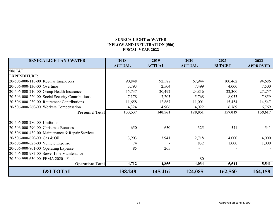## **SENECA LIGHT & WATER INFLOW AND INFILTRATION (506) FISCAL YEAR 2022**

<span id="page-31-0"></span>

| <b>SENECA LIGHT AND WATER</b>                   | 2018          | 2019          | 2020          | 2021          | 2022            |
|-------------------------------------------------|---------------|---------------|---------------|---------------|-----------------|
|                                                 | <b>ACTUAL</b> | <b>ACTUAL</b> | <b>ACTUAL</b> | <b>BUDGET</b> | <b>APPROVED</b> |
| 506 I&I                                         |               |               |               |               |                 |
| <b>EXPENDITURE:</b>                             |               |               |               |               |                 |
| 20-506-000-110-00 Regular Employees             | 90,848        | 92,588        | 67,944        | 100,462       | 94,686          |
| 20-506-000-130-00 Overtime                      | 3,793         | 2,504         | 7,499         | 4,000         | 7,500           |
| 20-506-000-210-00 Group Health Insurance        | 15,737        | 20,492        | 23,816        | 22,300        | 27,257          |
| 20-506-000-220-00 Social Security Contributions | 7,178         | 7,203         | 5,768         | 8,033         | 7,859           |
| 20-506-000-230-00 Retirement Contributions      | 11,658        | 12,867        | 11,001        | 15,454        | 14,547          |
| 20-506-000-260-00 Workers Compensation          | 4,324         | 4,906         | 4,022         | 6,769         | 6,769           |
| <b>Personnel Total</b>                          | 133,537       | 140,561       | 120,051       | 157,019       | 158,617         |
|                                                 |               |               |               |               |                 |
| 20-506-000-280-00 Uniforms                      |               |               |               |               |                 |
| 20-506-000-290-00 Christmas Bonuses             | 650           | 650           | 325           | 541           | 541             |
| 20-506-000-430-00 Maintenance & Repair Services |               |               |               |               |                 |
| 20-506-000-620-00 Gas & Oil                     | 3,903         | 3,941         | 2,718         | 4,000         | 4,000           |
| 20-506-000-625-00 Vehicle Expense               | 74            |               | 832           | 1,000         | 1,000           |
| 20-506-000-801-00 Operating Expense             | 85            | 265           |               |               |                 |
| 20-506-000-987-00 Sewer Line Maintenance        |               |               |               |               |                 |
| 20-509-999-630-00 FEMA 2020 - Food              |               |               | 80            |               |                 |
| <b>Operations Total</b>                         | 4,712         | 4,855         | 4,034         | 5,541         | 5,541           |
| <b>I&amp;I TOTAL</b>                            | 138,248       | 145,416       | 124,085       | 162,560       | 164,158         |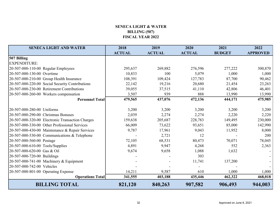## **SENECA LIGHT & WATER BILLING (507) FISCAL YEAR 2022**

<span id="page-32-0"></span>

| <b>SENECA LIGHT AND WATER</b>                    | 2018          | 2019          | 2020          | 2021          | 2022            |
|--------------------------------------------------|---------------|---------------|---------------|---------------|-----------------|
|                                                  | <b>ACTUAL</b> | <b>ACTUAL</b> | <b>ACTUAL</b> | <b>BUDGET</b> | <b>APPROVED</b> |
| 507 Billing                                      |               |               |               |               |                 |
| <b>EXPENDITURE:</b>                              |               |               |               |               |                 |
| 20-507-000-110-00 Regular Employees              | 295,637       | 269,882       | 276,596       | 277,222       | 300,870         |
| 20-507-000-130-00 Overtime                       | 10,833        | 100           | 5,079         | 1,000         | 1,000           |
| 20-507-000-210-00 Group Health Insurance         | 108,391       | 109,424       | 127,783       | 87,700        | 90,462          |
| 20-507-000-220-00 Social Security Contributions  | 22,142        | 19,216        | 20,680        | 21,454        | 23,263          |
| 20-507-000-230-00 Retirement Contributions       | 39,055        | 37,515        | 41,110        | 42,806        | 46,401          |
| 20-507-000-260-00 Workers compensation           | 3,507         | 939           | 888           | 13,990        | 13,990          |
| <b>Personnel Total</b>                           | 479,565       | 437,076       | 472,136       | 444,171       | 475,985         |
|                                                  |               |               |               |               |                 |
| 20-507-000-280-00 Uniforms                       | 3,200         | 3,200         | 3,200         | 3,200         | 3,200           |
| 20-507-000-290-00 Christmas Bonuses              | 2,039         | 2,274         | 2,274         | 2,220         | 2,220           |
| 20-507-000-320-00 Electronic Transaction Charges | 159,638       | 205,687       | 228,783       | 149,495       | 230,000         |
| 20-507-000-330-00 Other Professional Services    | 66,009        | 73,622        | 93,651        | 85,000        | 142,990         |
| 20-507-000-430-00 Maintenance & Repair Services  | 9,787         | 17,961        | 9,043         | 11,952        | 8,000           |
| 20-507-000-530-00 Communications & Telephone     |               | 2,721         | 12            |               | 200             |
| 20-507-000-560-00 Postage                        | 72,105        | 68,531        | 80,473        | 70,071        | 78,045          |
| 20-507-000-610-00 Tools/Supplies                 | 4,891         | 9,947         | 4,268         | 552           | 2,363           |
| 20-507-000-620-00 Gas & Oil                      | 9,674         | 9,658         | 1,088         | 1,632         |                 |
| 20-507-000-720-00 Buildings                      |               |               | 303           |               |                 |
| 20-507-000-741-00 Machinery & Equipment          |               |               | 11,741        | 137,200       |                 |
| 20-507-000-742-00 Vehicles                       |               |               |               |               |                 |
| 20-507-000-801-00 Operating Expense              | 14,211        | 9,587         | 610           | 1,000         | 1,000           |
| <b>Operations Total</b>                          | 341,555       | 403,188       | 435,446       | 462,322       | 468,018         |
| <b>BILLING TOTAL</b>                             | 821,120       | 840,263       | 907,582       | 906,493       | 944,003         |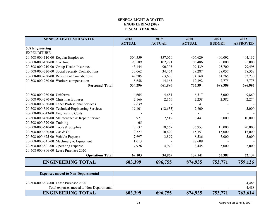### **SENECA LIGHT & WATERENGINEERING (508)FISCAL YEAR 2022**

<span id="page-33-0"></span>

| <b>SENECA LIGHT AND WATER</b>                    | 2018          | 2019          | 2020          | 2021          | 2022            |
|--------------------------------------------------|---------------|---------------|---------------|---------------|-----------------|
|                                                  | <b>ACTUAL</b> | <b>ACTUAL</b> | <b>ACTUAL</b> | <b>BUDGET</b> | <b>APPROVED</b> |
| 508 Engineering                                  |               |               |               |               |                 |
| <b>EXPENDITURE:</b>                              |               |               |               |               |                 |
| 20-508-000-110-00 Regular Employees              | 304,559       | 357,070       | 406,629       | 400,092       | 404,132         |
| 20-508-000-130-00 Overtime                       | 98,589        | 102,271       | 103,486       | 95,000        | 95,000          |
| 20-508-000-210-00 Group Health Insurance         | 43,144        | 90,303        | 99,439        | 95,700        | 79,498          |
| 20-508-000-220-00 Social Security Contributions  | 30,062        | 34,454        | 39,287        | 38,057        | 38,358          |
| 20-508-000-230-00 Retirement Contributions       | 49,285        | 63,636        | 74,160        | 61,765        | 62,230          |
| 20-508-000-260-00 Workers compensation           | 8,658         | 14,163        | 12,392        | 7,775         | 7,775           |
| <b>Personnel Total</b>                           | 534,296       | 661,896       | 735,394       | 698,389       | 686,992         |
|                                                  |               |               |               |               |                 |
| 20-508-000-280-00 Uniforms                       | 4,665         | 4,681         | 6,517         | 5,000         | 9,860           |
| 20-508-000-290-00 Christmas Bonuses              | 2,166         | 2,166         | 2,238         | 2,382         | 2,274           |
| 20-508-000-330-00 Other Professional Services    | 2,639         |               | 41            |               |                 |
| 20-508-000-340-00 Technical/Engineering Services | 19,101        | (12, 633)     | 2,800         |               | 5,000           |
| 20-508-000-343-00 Engineering Costs              |               |               |               |               |                 |
| 20-508-000-430-00 Maintenance & Repair Service   | 971           | 2,519         | 6,441         | 8,000         | 10,000          |
| 20-508-000-570-00 Training                       | 65            |               |               |               |                 |
| 20-508-000-610-00 Tools & Supplies               | 13,532        | 18,567        | 36,953        | 15,000        | 20,000          |
| 20-508-000-620-00 Gas & Oil                      | 9,327         | 10,690        | 15,351        | 15,000        | 15,000          |
| 20-508-000-625-00 Vehicle Expense                | 7,697         | 3,899         | 8,536         | 5,000         | 5,000           |
| 20-508-000-741-00 Machinery & Equipment          | 1,013         |               | 28,609        |               |                 |
| 20-508-000-801-00 Operating Expense              | 7,926         | 4,970         | 3,445         | 5,000         | 5,000           |
| 20-508-000-806-00 Lease Purchase 2020            |               |               |               |               |                 |
| <b>Operations Total</b>                          | 69,103        | 34,859        | 139,541       | 55,382        | 72,134          |
| <b>ENGINEERING TOTAL</b>                         | 603,399       | 696,755       | 874,935       | 753,771       | 759,126         |

| <b>Expenses moved to Non-Departmental</b> |         |         |         |         |         |
|-------------------------------------------|---------|---------|---------|---------|---------|
|                                           |         |         |         |         |         |
| 120-508-000-806-00 Lease Purchase 2020    |         |         |         |         | 4,488   |
| Total expenses moved to Non-Departmental  |         |         |         |         | 4.488   |
| <b>ENGINEERING TOTAL</b>                  | 603,399 | 696,755 | 874,935 | 753,771 | 763,614 |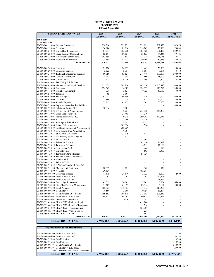#### **SENECA LIGHT & WATER ELECTRIC (509) FISCAL YEAR 2022**

<span id="page-34-0"></span>

| <b>SENECA LIGHT AND WATER</b>                                                                             | 2018              | 2019              | 2020              | 2021              | 2022            |
|-----------------------------------------------------------------------------------------------------------|-------------------|-------------------|-------------------|-------------------|-----------------|
| 509 Electric                                                                                              | <b>ACTUAL</b>     | <b>ACTUAL</b>     | <b>ACTUAL</b>     | <b>BUDGET</b>     | <b>APPROVED</b> |
| <b>EXPENDITURE:</b>                                                                                       |                   |                   |                   |                   |                 |
| 20-509-000-110-00 Regular Employees                                                                       | 738,710           | 729,271           | 725,095           | 762,925           | 962,078         |
| 20-509-000-130-00 Overtime                                                                                | 96,880            | 89,016            | 118,267           | 73,809            | 73,809          |
| 20-509-000-210-00 Group Health Insurance                                                                  | 81,014            | 166,738           | 185,968           | 181,400           | 222,984         |
| 20-509-000-220-00 Social Security Contributions                                                           | 62,191            | 60,551            | 63,633            | 64,246            | 79,486          |
| 20-509-000-230-00 Retirement Contributions                                                                | 103,158           | 114,542           | 123,778           | 118,135           | 149,471         |
| 20-509-000-260-00 Workers Compensation                                                                    | 38,598            | 53,073            | 49,006            | 57,636            | 57,636          |
| <b>Personnel Total</b>                                                                                    | 1,120,551         | 1,213,190         | 1,265,748         | 1,258,151         | 1,545,464       |
| 20-509-000-280-00 Uniforms                                                                                | 21,220            | 20,833            | 19,443            | 20,000            | 20,000          |
| 20-509-000-290-00 Christmas Bonuses                                                                       | 3,122             | 2,761             | 3,086             | 3,086             | 3,140           |
| 20-509-000-340-00 Technical/Engineering Services                                                          | 60,958            | 85,527            | 216,448           | 100,000           | 200,000         |
| 20-509-000-380-00 Dues & Membership                                                                       | 14,957            | 17,045            | 22,800            | 18,000            | 19,000          |
| 20-509-000-410-00 Utility Services                                                                        | 7,175             | 6,230             | 2,569             | 2,500             | 2,500           |
| 20-509-000-410-01 SFC Utility Bill 81 Fund                                                                |                   |                   |                   |                   |                 |
| 20-509-000-430-00 Maintenance & Repair Services                                                           | 751,579           | 1,249,930         | 1,045,520         | 1,063,910         | 1,200,000       |
| 20-509-000-436-00 Expansion                                                                               | 174,562           | 56,982            | 124,997           | 110,796           | 300,000         |
| 20-509-000-442-00 Rental of Equipment                                                                     | 736               | 5,634             | 40,732            | 49,157            | 3,000           |
| 20-509-000-570-00 Training<br>20-509-000-610-00 Tools/Supplies                                            | 65<br>97,737      | 3,104<br>96,646   | 71,516            | 90,000            | 90,000          |
| 20-509-000-620-00 Gas & Oil                                                                               | 23,899            | 25,424            | 22,617            | 24,000            | 24,000          |
| 20-509-000-625-00 Vehicle Expense                                                                         | 73,817            | 45,173            | 35,562            | 50,000            | 50,000          |
| 20-509-000-730-00 Improvements other than buildings                                                       |                   |                   | ÷,                |                   | 500,000         |
| 20-509-000-730-02 Substation Project 2013                                                                 | 38,446            | 3,884             |                   |                   |                 |
| 20-509-000-730-03 E North 1st St/Walnut underg                                                            |                   | 2,224             | 235,158           | 135,380           |                 |
| 20-509-000-730-04 Cross Creek backfeed                                                                    |                   | 24,465            | 7,270             |                   |                 |
| 20-509-000-730-05 Fairfield Inn/Bypass 123                                                                |                   | 9,715             | 399,262           | 370,353           |                 |
| 20-509-000-730-06 YMCA                                                                                    |                   | 12,596            | 14,156            |                   |                 |
| 20-509-000-730-07 Kensington Subdivision                                                                  |                   | 19,348            | 9,212             |                   | L.              |
| 20-509-000-730-08 Hunter Oaks Apartments                                                                  |                   | 103,934           | 794               |                   |                 |
| 20-509-000-730-09 Rail Road Crossing at Washington St.<br>20-509-000-730-10 Borg Warner Fire Pump Station |                   | 202,269<br>9,301  | ä,                |                   | ÷,<br>÷,        |
| 20-509-000-730-11 SRF Sewer Lift Station                                                                  |                   | 34,979            | 8,414             |                   |                 |
| 20-509-000-730-12 RIA Gravity Sewer Upgrade                                                               |                   | 3,173             |                   |                   | ÷,              |
| 20-509-000-730-13 Prisma Health                                                                           |                   |                   | 135,069           |                   | ÷,              |
| 20-509-000-730-14 Substation 3 Project                                                                    |                   | L,                | 65,120            | 74,978            | ÷,              |
| 20-509-000-730-15 Townes at Oakmont                                                                       |                   |                   | 8,259             | 12,180            |                 |
| 20-509-000-730-16 New Leader Ford                                                                         |                   |                   | 466               | 699               | ÷.              |
| 20-509-000-730-17 Big Lots / Bilo                                                                         |                   |                   | 6,505             | 3,377             |                 |
| 20-509-000-730-18 Tantalus Metering Project                                                               |                   |                   | 51,138            |                   | L.              |
| 20-509-000-730-19 Townville Road Community                                                                |                   |                   |                   |                   | ä,              |
| 20-509-000-730-20 Autumn Mills<br>20-509-000-730-21 Tokeena Trail                                         |                   |                   |                   |                   |                 |
| 20-509-000-730-22 S. Walnut/Overbrook Steel Pole                                                          |                   |                   |                   |                   |                 |
| 20-509-000-741-00 Machinery & Equipment                                                                   | 28,359            | 44,725            | 360               | 540               |                 |
| 20-509-000-742-00 Vehicles                                                                                | 30,636            |                   | 462,261           |                   |                 |
| 20-509-000-801-00 Operating Expense                                                                       | 14,815            | 26,870            | 2,133             | 1,007             | 2,000           |
| 20-509-000-802-00 Lease Purchase 2016                                                                     | 27,793            | 27,793            | 27,793            | 27,793            |                 |
| 20-509-000-806-00 Lease Purchase 2020                                                                     |                   |                   |                   | 98,395            |                 |
| 20-509-000-984-00 Street Light Expansion                                                                  | 45,559            | 30,565            | 27,849            | 8,064             | 65,000          |
| 20-509-000-985-00 Street/Traffic Light Maintenance                                                        | 34,607            | 65,492            | 82,946            | 85,107            | 150,000         |
| 20-509-000-995-00 Bond Principal                                                                          | 108,325           | 110,425           | 113,316           | 110,250           |                 |
| 20-509-000-996-00 Bond Interest                                                                           | 18,566            | 12,988            | 19,156            | 16,464            |                 |
| 20-509-000-995-01 Bond Principal 2013 bonds<br>20-509-000-996-01 Bond Interest 2013 bonds                 | 199,583<br>69,122 | 206,875<br>64,201 | 212,083<br>60,913 | 206,250<br>62,363 |                 |
| 20-509-000-996-02 Interest on Capital Lease                                                               |                   | (376)             | 342               |                   |                 |
| 20-509-999-430-00 FEMA 2020 - Maint & Repairs                                                             |                   |                   | 2,419,206         |                   |                 |
| 20-509-999-442-00 FEMA 2020 - Rental of Equipment                                                         |                   |                   | 3,750             |                   |                 |
| 20-509-999-610-00 FEMA 2020 - Tools/Supplies                                                              |                   |                   | 966,187           |                   |                 |
| 20-509-999-625-00 FEMA 2020 - Vehicle Expense                                                             |                   |                   | 1,236             |                   |                 |
| 20-509-999-630-00 FEMA 2020 - Food                                                                        |                   |                   | 663               |                   |                 |
| <b>Operations Total</b>                                                                                   | 1,845,637         | 2,630,733         | 6,946,306         | 2,744,649         | 2,628,640       |
| <b>ELECTRIC TOTAL</b>                                                                                     | 2,966,188         | 3,843,923         | 8,212,054         | 4,002,800         | 4,174,105       |
|                                                                                                           |                   |                   |                   |                   |                 |
| <b>Expenses moved to Non-Departmental</b>                                                                 |                   |                   |                   |                   |                 |

| 20-509-000-802-00 Lease Purchase 2016       |           |           |           |           | 27,793    |
|---------------------------------------------|-----------|-----------|-----------|-----------|-----------|
| 20-509-000-806-00 Lease Purchase 2020       |           |           |           |           | 98,538    |
| 20-509-000-995-00 Bond Principal            |           |           |           |           | 116,200   |
| 20-509-000-996-00 Bond Interest             |           |           |           |           | 9.700     |
| 20-509-000-995-01 Bond Principal 2013 bonds |           |           |           |           | 240,000   |
| 20-509-000-996-01 Bond Interest 2013 bonds  |           |           |           |           | 29,000    |
| Total expenses moved to Non-Departmental    |           |           |           |           | 521.231   |
| <b>ELECTRIC TOTAL</b>                       | 2.966.188 | 3.843.923 | 8.212.054 | 4,002,800 | 4,695,335 |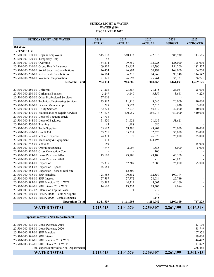#### **SENECA LIGHT & WATER WATER (510) FISCAL YEAR 2022**

<span id="page-35-0"></span>

| <b>SENECA LIGHT AND WATER</b>                    | 2018          | 2019          | 2020           | 2021          | 2022            |
|--------------------------------------------------|---------------|---------------|----------------|---------------|-----------------|
|                                                  | <b>ACTUAL</b> | <b>ACTUAL</b> | <b>ACTUAL</b>  | <b>BUDGET</b> | <b>APPROVED</b> |
| 510 Water                                        |               |               |                |               |                 |
| <b>EXPENDITURE:</b>                              |               |               |                |               |                 |
| 20-510-000-110-00 Regular Employees              | 515,118       | 540,473       | 572,816        | 586,930       | 743,585         |
| 20-510-000-120-00 Temporary Help                 | 42            |               |                |               |                 |
| 20-510-000-130-00 Overtime                       | 134,274       | 109,859       | 102,225        | 125,000       | 125,000         |
| 20-510-000-210-00 Group Health Insurance         | 109,802       | 133,152       | 162,296        | 154,200       | 182,507         |
| 20-510-000-220-00 Social Security Contributions  | 46,454        | 46,893        | 50,197         | 168,000       | 66,770          |
| 20-510-000-230-00 Retirement Contributions       | 76,564        | 86,316        | 94,969         | 90,240        | 114,542         |
| 20-510-000-260-00 Workers Compensation           | 21,821        | 26,893        | 25,761         | 36,721        | 36,721          |
| <b>Personnel Total</b>                           | 904,074       | 943,586       | 1,008,265      | 1,161,091     | 1,269,125       |
|                                                  |               |               |                |               |                 |
| 20-510-000-280-00 Uniforms                       | 21,203        | 23,387        | 21,115         | 23,037        | 25,000          |
| 20-510-000-290-00 Christmas Bonuses              | 3,249         | 3,140         | 3,357          | 3,661         | 4,223           |
| 20-510-000-330-00 Other Professional Services    | 57,016        |               | ÷,             |               |                 |
| 20-510-000-340-00 Technical/Engineering Services | 23,962        | 11,716        | 9,646          | 20,000        | 10,000          |
| 20-510-000-380-00 Dues & Membership              | 1,298         | 3,973         | 2,616          | 8,630         | 3,000           |
| 20-510-000-410-00 Utility Services               | 32,723        | 37,738        | 40,412         | 42,000        | 40,000          |
| 20-510-000-430-00 Maintenance & Repair Services  | 451,927       | 490,959       | 369,914        | 450,000       | 410,000         |
| 20-510-000-443-00 Lease of Vacuum Truck          | 27,738        |               | $\overline{a}$ |               |                 |
| 20-510-000-444-00 Lease of Backhoes              | 51,620        | 51,621        | 51,635         | 51,621        |                 |
| 20-510-000-570-00 Training                       | 65            | 1,188         | 680            |               |                 |
| 20-510-000-610-00 Tools/Supplies                 | 65,662        | 69,296        | 43,902         | 70,000        | 70,000          |
| 20-510-000-620-00 Gas & Oil                      | 33,211        | 35,231        | 32,323         | 35,000        | 35,000          |
| 20-510-000-625-00 Vehicle Expense                | 74,373        | 31,070        | 26,828         | 25,000        | 25,000          |
| 20-510-000-741-00 Machinery & Equipment          | 1,013         |               | 374,495        |               |                 |
| 20-510-000-742-00 Vehicles                       | 150           |               |                |               | 45,000          |
| 20-510-000-801-00 Operating Expense              | 7,947         | 2,007         | 1,888          | 5,000         | 5,000           |
| 20-510-000-802-00 Cross Connection Cont          |               |               | 100            |               |                 |
| 20-510-000-803-00 Lease Purchase 2016            | 43,100        | 43,100        | 43,100         | 43,100        |                 |
| 20-510-000-806-00 Lease Purchase 2020            |               |               |                | 63,833        |                 |
| 20-510-000-984-00 Expansion                      | 155,375       | 157,387       | 37,688         | 75,000        | 75,000          |
| 20-510-000-984-02 Expansion - Epoch              | 45,683        |               |                |               |                 |
| 20-510-000-984-03 Expansion - Seneca Rail Site   |               | 12,500        |                |               |                 |
| 20-510-000-995-00 SRF Principal                  | 128,385       | 100,382       | 102,857        | 100,194       |                 |
| 20-510-000-996-00 SRF Interest                   | 27,597        | 27,772        | 28,084         | 25,789        |                 |
| 20-510-000-995-01 SRF Principal 2014 WTP         | 43,582        | 44,219        | 45,002         | 44,160        |                 |
| 20-510-000-996-01 SRF Interest 2014 WTP          | 14,660        | 13,332        | 13,303         | 14,084        |                 |
| 20-510-000-996-02 Interest on Capital Lease      |               | 1,074         | 912            |               |                 |
| 20-510-999-610-00 FEMA 2020 - Tools & Supples    |               |               | 42             |               |                 |
| 20-510-999-625-00 FEMA 2020 - Vehicle Expense    |               |               | 1,145          |               |                 |
| <b>Operations Total</b>                          | 1,311,539     | 1,161,093     | 1,251,042      | 1,100,109     | 747,223         |
| <b>WATER TOTAL</b>                               | 2,215,613     | 2,104,679     | 2,259,307      | 2,261,199     | 2,016,348       |

| <b>Expenses moved to Non-Departmental</b> |           |           |           |           |           |
|-------------------------------------------|-----------|-----------|-----------|-----------|-----------|
|                                           |           |           |           |           |           |
| 20-510-000-803-00 Lease Purchase 2016     |           |           |           |           | 43,100    |
| 20-510-000-806-00 Lease Purchase 2020     |           |           |           |           | 58,749    |
| 20-510-000-995-00 SRF Principal           |           |           |           |           | 107,372   |
| 20-510-000-996-00 SRF Interest            |           |           |           |           | 19,000    |
| 20-510-000-995-01 SRF Principal 2014 WTP  |           |           |           |           | 46,422    |
| 20-510-000-996-01 SRF Interest 2014 WTP   |           |           |           |           | 11,822    |
| Total expenses moved to Non-Departmental  |           |           |           |           | 286,465   |
| <b>WATER TOTAL</b>                        | 2,215,613 | 2,104,679 | 2,259,307 | 2,261,199 | 2,302,813 |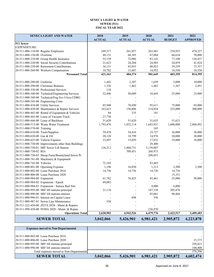#### **SENECA LIGHT & WATER SEWER (511) FISCAL YEAR 2022**

<span id="page-36-0"></span>

| <b>SENECA LIGHT AND WATER</b>                       | 2018          | 2019          | 2020           | 2021          | 2022            |
|-----------------------------------------------------|---------------|---------------|----------------|---------------|-----------------|
|                                                     | <b>ACTUAL</b> | <b>ACTUAL</b> | <b>ACTUAL</b>  | <b>BUDGET</b> | <b>APPROVED</b> |
| 511 Sewer                                           |               |               |                |               |                 |
| <b>EXPENDITURE:</b>                                 |               |               |                |               |                 |
| 20-511-000-110-00 Regular Employees                 | 249,317       | 261,057       | 263,481        | 254,953       | 474,227         |
| 20-511-000-130-00 Overtime                          | 48,131        | 68,385        | 67,064         | 68,634        | 70,000          |
| 20-511-000-210-00 Group Health Insurance            | 55,159        | 72,086        | 83,141         | 77,100        | 136,437         |
| 20-511-000-220-00 Social Security Contributions     | 21,623        | 24,204        | 24,983         | 24,859        | 41,824          |
| 20-511-000-230-00 Retirement Contributions          | 36,151        | 45,035        | 48,025         | 39,259        | 73,357          |
| 20-511-000-260-00 Workers Compensation              | 10,782        | 13,607        | 14,952         | 18,550        | 18,550          |
| <b>Personnel Total</b>                              | 421,163       | 484,374       | 501,645        | 483,355       | 814,395         |
|                                                     |               |               |                |               |                 |
| 20-511-000-280-00 Uniforms                          | 1,442         | 2,307         | 1,659          | 3,000         | 10,000          |
| 20-511-000-290-00 Christmas Bonuses                 | 1,336         | 1,462         | 1,462          | 1,367         | 2,491           |
| 20-511-000-330-00 Professional Services             | 110           |               | $\blacksquare$ |               |                 |
| 20-511-000-340-00 Technical/Engineering Services    | 52,446        | 50,609        | 10,443         | 25,000        | 25,000          |
| 20-511-000-340-08 Technical/Eng Svc-Utica-CDBG      |               |               |                |               |                 |
| 20-511-000-343-00 Engineering Costs                 |               |               |                |               |                 |
| 20-511-000-410-00 Utility Services                  | 85,940        | 78,690        | 95,611         | 75,000        | 85,000          |
| 20-511-000-430-00 Maintenance & Repair Services     | 163,623       | 156,806       | 314,024        | 225,000       | 300,000         |
| 20-511-000-442-00 Rental of Equipment & Vehicles    | 84            | 335           | 181            |               |                 |
| 20-511-000-443-00 Lease of Vacuum Truck             | 27,738        |               |                |               |                 |
| 20-511-000-444-00 Lease of Backhoes                 | 51,620        | 51,620        | 51,635         | 51,621        |                 |
| 20-511-000-513-00 Waste Water Treatment             | 1,793,476     | 1,852,114     | 1,643,831      | 1,600,000     | 2,860,492       |
| 20-511-000-570-00 Training                          |               |               | 165            |               |                 |
| 20-511-000-610-00 Tools/Supplies                    | 39,470        | 34,416        | 23,727         | 36,000        | 36,000          |
| 20-511-000-620-00 Gas & Oil                         | 20,120        | 18,799        | 14,976         | 20,000        | 20,000          |
| 20-511-000-625-00 Vehicle Expense                   | 33,897        | 15,059        | 17,832         | 18,000        | 18,000          |
| 20-511-000-730-00 Improvements other than Buildings |               |               | 29,400         |               |                 |
| 20-511-000-730-01 SRF Sewer Lift Station            | 126,212       | 1,860,731     | 3,139,007      |               |                 |
| 20-511-000-730-02 RIA                               |               | 709,451       | 268,973        |               |                 |
| 20-511-000-730-03 Sheep Farm/Bountyland Sewer Pr    |               |               | 208,051        |               |                 |
| 20-511-000-741-00 Machinery & Equipment             |               |               |                |               |                 |
| 20-511-000-742-00 Vehicles                          | 72,165        |               | 83,465         |               |                 |
| 20-511-000-801-00 Operating Expense                 | 1,196         | 16,030        | 1,213          | 2,500         | 2,500           |
| 20-511-000-802-00 Lease Purchase 2016               | 14,736        | 14,736        | 14,736         | 14,736        |                 |
| 20-511-000-806-00 Lease Purchase 2020               |               |               |                | 15,351        |                 |
| 20-511-000-984-00 Expansion                         | 61,782        | 76,425        | 45,461         | 25,000        | 50,000          |
| 20-511-000-984-02 Expansion - Epoch                 | 49,083        |               |                |               |                 |
| 20-511-000-984-03 Expansion - Seneca Rail Site      |               |               | 4,000          | 6,000         |                 |
| 20-511-000-995-00 SRF lift stations-principal       | 21,110        |               | 187,338        | 205,476       |                 |
| 20-511-000-996-00 SRF lift stations-interest        |               |               | 85,061         | 98,466        |                 |
| 20-511-000-996-01 Interest on Capital Lease         |               | 898           | 556            |               |                 |
| 20-511-000-987-01 Sewer Line Maintenance            | 538           |               |                |               |                 |
| 20-511-222-430-00 ZETA 2020 - Maint & Repairs       |               |               |                |               |                 |
| 20-511-999-430-00 FEMA 2020 - Maint. & Repair       |               |               | 236,970        |               |                 |
| <b>Operations Total</b>                             | 2,620,903     | 4,942,526     | 6,479,776      | 2,422,517     | 3,409,483       |
| <b>SEWER TOTAL</b>                                  | 3,042,066     | 5,426,901     | 6,981,421      | 2,905,872     | 4,223,878       |

| <b>Expenses moved to Non-Departmental</b>        |           |           |           |           |           |
|--------------------------------------------------|-----------|-----------|-----------|-----------|-----------|
|                                                  |           |           |           |           |           |
| 20-511-000-802-00 Lease Purchase 2016            |           |           |           |           |           |
| 20-511-000-806-00 Lease Purchase 2020            |           |           |           |           | 15,373    |
| $[20-511-000-995-00$ SRF lift stations-principal |           |           |           |           | 258,823   |
| 20-511-000-996-00 SRF lift stations-interest     |           |           |           |           | 104,400   |
| Total expenses moved to Non-Departmental         |           |           |           |           | 378,596   |
| <b>SEWER TOTAL</b>                               | 3,042,066 | 5,426,901 | 6,981,421 | 2,905,872 | 4,602,474 |

J.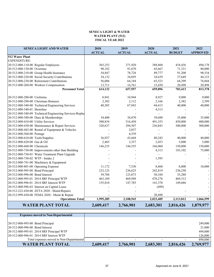#### **SENECA LIGHT & WATER WATER PLANT (512) FISCAL YEAR 2022**

<span id="page-37-0"></span>

| <b>SENECA LIGHT AND WATER</b>                           | 2018          | 2019          | 2020          | 2021          | 2022            |
|---------------------------------------------------------|---------------|---------------|---------------|---------------|-----------------|
|                                                         | <b>ACTUAL</b> | <b>ACTUAL</b> | <b>ACTUAL</b> | <b>BUDGET</b> | <b>APPROVED</b> |
| 512 Water Plant                                         |               |               |               |               |                 |
| <b>EXPENDITURE:</b>                                     |               |               |               |               |                 |
| 20-512-000-110-00 Regular Employees                     | 365,253       | 371,920       | 388,860       | 418,436       | 494,178         |
| 20-512-000-130-00 Overtime                              | 90,182        | 91,670        | 65,667        | 71,331        | 80,000          |
| 20-512-000-210-00 Group Health Insurance                | 54,847        | 78,728        | 89,777        | 91,200        | 98,534          |
| 20-512-000-220-00 Social Security Contributions         | 34,132        | 34,695        | 34,639        | 37,649        | 44,123          |
| 20-512-000-230-00 Retirement Contributions              | 56,006        | 64,184        | 65,523        | 64,299        | 76,044          |
| 20-512-000-260-00 Workers Compensation                  | 13,711        | 16,761        | 15,430        | 20,498        | 20,498          |
| <b>Personnel Total</b>                                  | 614,132       | 657,957       | 659,896       | 703,413       | 813,378         |
|                                                         |               |               |               |               |                 |
| 20-512-000-280-00 Uniforms                              | 8,941         | 10,944        | 8,927         | 9,000         | 9,000           |
| 20-512-000-290-00 Christmas Bonuses                     | 2,382         | 2,112         | 2,166         | 2,382         | 2,599           |
| 20-512-000-340-00 Technical/Engineering Services        | 40,385        | 67,943        | 44,415        | 40,000        | 40,000          |
| 20-512-000-340-01 Shoreline                             |               |               | 4,313         |               |                 |
| 20-512-000-340-09 Technical/Engineering Services-Replac |               |               |               |               |                 |
| 20-512-000-380-00 Dues & Memberships                    | 34,400        | 34,870        | 39,688        | 35,000        | 35,000          |
| 20-512-000-410-00 Utility Services                      | 500,834       | 516,450       | 491,353       | 450,000       | 400,000         |
| 20-512-000-430-00 Maintenance & Repair Services         | 320,637       | 294,507       | 236,843       | 300,000       | 300,000         |
| 20-512-000-442-00 Rental of Equipment & Vehicles        |               | 2,037         |               |               |                 |
| 20-512-000-560-00 Postage                               |               | 4,539         |               |               |                 |
| 20-512-000-610-00 Tools/Supplies                        | 36,927        | 43,668        | 80,242        | 40,000        | 40,000          |
| 20-512-000-620-00 Gas & Oil                             | 2,465         | 2,357         | 2,453         | 5,000         | 5,000           |
| 20-512-000-660-00 Chemicals                             | 146,235       | 144,555       | 166,060       | 150,000       | 150,000         |
| 20-512-000-730-00 Improvements other than Building      |               |               | 4,313         | 183,102       | 75,000          |
| 20-512-000-730-01 Water Treatment Plant Upgrade         |               |               |               |               |                 |
| 20-512-000-730-02 WTP - Intake 2                        |               |               | 1,595         |               |                 |
| 20-512-000-741-00 Machinery & Equipment                 |               |               |               |               |                 |
| 20-512-000-801-00 Operating Expense                     | 11,172        | 7,530         | 8,460         | 8,000         | 10,000          |
| 20-512-000-995-00 Bond Principal                        | 232,125       | 236,625       | 242,819       | 236,250       |                 |
| 20-512-000-996-00 Bond Interest                         | 39,784        | 123,073       | 50,104        | 35,280        |                 |
| 20-512-000-995-01 2014 SRF Principal WTP                | 463,189       | 469,949       | 478,278       | 469,312       |                 |
| 20-512-000-996-01 2014 SRF Interest WTP                 | 155,810       | 147,785       | 141,378       | 149,686       |                 |
| 20-512-000-996-03 Interest on Capital Lease             |               |               | (499)         |               |                 |
| 20-512-222-430-00 ZETA 2020 - Maint/Repairs             |               |               |               |               |                 |
| 20-512-999-430-00 FEMA 2020 - Maint & Repair            |               |               | 20,498        |               |                 |
| <b>Operations Total</b>                                 | 1,995,285     | 2,108,943     | 2,023,405     | 2,113,012     | 1,066,599       |
| <b>WATER PLANT TOTAL</b>                                | 2,609,417     | 2,766,901     | 2,683,301     | 2,816,426     | 1,879,977       |

| <b>Expenses moved to Non-Departmental</b> |           |           |           |           |           |
|-------------------------------------------|-----------|-----------|-----------|-----------|-----------|
|                                           |           |           |           |           |           |
| 20-512-000-995-00 Bond Principal          |           |           |           |           | 249,000   |
| 20-512-000-996-00 Bond Interest           |           |           |           |           | 21,000    |
| 20-512-000-995-01 2014 SRF Principal WTP  |           |           |           |           | 494,000   |
| 20-512-000-996-01 2014 SRF Interest WTP   |           |           |           |           | 126,000   |
| Total expenses moved to Non-Departmental  |           |           |           |           | 890,000   |
| <b>WATER PLANT TOTAL</b>                  | 2,609,417 | 2,766,901 | 2,683,301 | 2,816,426 | 2,769,977 |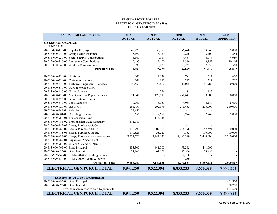#### **SENECA LIGHT & WATER ELECTRICAL GEN/PURCHASE (513)FISCAL YEAR 2022**

<span id="page-38-0"></span>

| <b>SENECA LIGHT AND WATER</b>                      | 2018          | 2019          | 2020          | 2021          | 2022            |
|----------------------------------------------------|---------------|---------------|---------------|---------------|-----------------|
|                                                    | <b>ACTUAL</b> | <b>ACTUAL</b> | <b>ACTUAL</b> | <b>BUDGET</b> | <b>APPROVED</b> |
| 513 Electrical Gen/Purch.                          |               |               |               |               |                 |
| <b>EXPENDITURE:</b>                                |               |               |               |               |                 |
| 20-513-000-110-00 Regular Employee                 | 48,272        | 53,383        | 56,470        | 53,040        | 65,000          |
| 20-513-000-210-00 Group Health Insurance           | 15,192        | 6,939         | 10,216        | 8,100         | 7,884           |
| 20-513-000-220-00 Social Security Contributions    | 3,669         | 4,117         | 4,467         | 4,074         | 4,989           |
| 20-513-000-230-00 Retirement Contributions         | 5,433         | 7,400         | 8,310         | 8,253         | 10,114          |
| 20-513-000-260-00 Workers Compensation             | 2,397         | 3,421         | 3,235         | 7,550         | 7,550           |
| <b>Personnel Total</b>                             | 74,963        | 75,259        | 82,699        | 81,017        | 95,537          |
|                                                    |               |               |               |               |                 |
| 20-513-000-280-00 Uniforms                         | 302           | 2,328         | 785           | 512           | 600             |
| 20-513-000-290-00 Christmas Bonuses                | 108           | 217           | 217           | 217           | 217             |
| 20-513-000-340-00 Technical/Engineering Services   | 96,569        | 76,682        | 81,055        | 61,986        | 60,000          |
| 20-513-000-380-00 Dues & Memberships               |               |               |               |               |                 |
| 20-513-000-410-00 Utility Services                 |               | 276           | 88            | 132           |                 |
| 20-513-000-430-00 Maintenance & Repair Services    | 91,848        | 173,512       | 251,641       | 100,000       | 100,000         |
| 20-513-000-476-00 Amortization Expense             |               |               |               |               |                 |
| 20-513-000-610-00 Tools/Supplies                   | 7,109         | 6,151         | 4,068         | 4,149         | 5,000           |
| 20-513-000-620-00 Gas & Oil                        | 265,431       | 292,979       | 216,485       | 250,000       | 250,000         |
| 20-513-000-742-00 Vehicles                         | 22,855        |               |               |               |                 |
| 20-513-000-801-00 Operating Expense                | 5,655         | 2,688         | 7,974         | 7,769         | 5,000           |
| 20-513-000-983-01 Transmission-SoCo                |               | (15,046)      |               |               |                 |
| 20-513-000-983-02 Transmission-Duke Company        | (71, 789)     |               |               |               |                 |
| 20-513-000-983-03 Energy Purchased-SoCo            |               |               |               |               |                 |
| 20-513-000-983-04 Energy Purchased-SEPA            | 198,293       | 209,351       | 214,798       | 157,391       | 180,000         |
| 20-513-000-983-05 Energy Purchased-ENEL            | 170,823       | 53,225        | 4,855         | 100,000       | 100,000         |
| 20-513-000-983-06 Energy Purchased - Santee Cooper | 8,571,520     | 8,142,020     | 7,437,390     | 7,400,000     | 7,200,000       |
| 20-513-000-984-01 Expansion-Amoco Plant            |               |               |               |               |                 |
| 20-513-000-984-02 Wilcox Generation Plant          |               |               |               |               |                 |
| 20-513-000-995-00 Bond Principal                   | 433,300       | 441,700       | 453,263       | 441,000       |                 |
| 20-513-000-996-00 Bond Interest                    | 74,263        | 61,052        | 95,506        | 65,856        |                 |
| 20-513-999-340-00 FEMA 2020 - Tech/Eng Services    |               |               | 2,160         |               |                 |
| 20-513-999-430-00 FEMA 2020 - Maint & Repair       |               |               | 250           |               |                 |
| <b>Operations Total</b>                            | 9,866,287     | 9,447,135     | 8,770,534     | 8,589,012     | 7,900,817       |
| <b>ELECTRICAL GEN/PURCH TOTAL</b>                  | 9,941,250     | 9,522,394     | 8,853,233     | 8,670,029     | 7,996,354       |

| <b>Expenses moved to Non-Departmental</b> |           |                          |           |                          |           |
|-------------------------------------------|-----------|--------------------------|-----------|--------------------------|-----------|
| 20-513-000-995-00 Bond Principal          |           |                          |           |                          | 464,800   |
| 20-513-000-996-00 Bond Interest           |           |                          |           |                          | 38,700    |
| Total expenses moved to Non-Departmental  | <b>.</b>  | $\overline{\phantom{0}}$ |           | $\overline{\phantom{a}}$ | 503,500   |
| ELECTRICAL GEN/PURCH TOTAL                | 9,941,250 | 9,522,394                | 8,853,233 | 8.670.029                | 8,499,854 |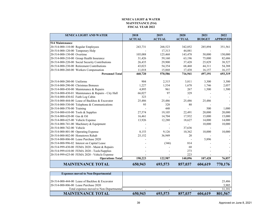#### **SENECA LIGHT & WATERMAINTENANCE (514)FISCAL YEAR 2022**

<span id="page-39-0"></span>

| <b>SENECA LIGHT AND WATER</b>                       | 2018          | 2019          | 2020          | 2021          | 2022            |
|-----------------------------------------------------|---------------|---------------|---------------|---------------|-----------------|
|                                                     | <b>ACTUAL</b> | <b>ACTUAL</b> | <b>ACTUAL</b> | <b>BUDGET</b> | <b>APPROVED</b> |
| <b>514 Maintenance</b>                              |               |               |               |               |                 |
| 20-514-000-110-00 Regular Employees                 | 243,731       | 268,523       | 342,052       | 285,894       | 351,561         |
| 20-514-000-120-00 Temporary Help                    |               | 17,313        | 44,881        |               |                 |
| 20-514-000-130-00 Overtime                          | 105,088       | 125,468       | 143,478       | 50,000        | 150,000         |
| 20-514-000-210-00 Group Health Insurance            | 31,426        | 59,160        | 63,196        | 75,000        | 82,686          |
| 20-514-000-220-00 Social Security Contributions     | 26,435        | 29,900        | 37,428        | 25,829        | 38,527          |
| 20-514-000-230-00 Retirement Contributions          | 43,023        | 54,354        | 68,468        | 44,311        | 54,388          |
| 20-514-000-260-00 Workers Compensation              | 11,018        | 15,868        | 17,438        | 16,157        | 16,157          |
| <b>Personnel Total</b>                              | 460,720       | 570,586       | 716,941       | 497,191       | 693,319         |
| 20-514-000-280-00 Uniforms                          | 904           | 2,315         | 3,811         | 3,300         | 3,300           |
| 20-514-000-290-00 Christmas Bonuses                 | 1,227         | 1,534         | 1,678         | 1,746         | 2,057           |
| 20-514-000-430-00 Maintenance & Repairs             | 4,895         | 961           | 267           | 1,500         | 1,500           |
| 20-514-000-430-01 Maintenance & Repairs - City Hall | 66,027        | 97            | 329           |               |                 |
| 20-514-000-430-02 Faith Log Cabin                   | 323           |               |               |               |                 |
| 20-514-000-444-00 Lease of Backhoe & Excavator      | 25,486        | 25,486        | 25,486        | 25,486        |                 |
| 20-514-000-530-00 Telephone & Communications        | 95            | 328           | 80            |               |                 |
| 20-514-000-570-00 Training                          |               | 448           |               | 500           | 1,000           |
| 20-514-000-610-00 Tools & Supplies                  | 27,574        | 19,105        | 22,491        | 20,000        | 20,000          |
| 20-514-000-620-00 Gas & Oil                         | 16,461        | 14,704        | 17,932        | 15,000        | 15,000          |
| 20-514-000-625-00 Vehicle Expense                   | 13,926        | 12,280        | 18,627        | 14,000        | 14,000          |
| 20-514-000-741-00 Machinery & Equipment             |               |               |               | 10,000        | 10,000          |
| 20-514-000-742-00 Vehicle                           |               |               | 37,636        |               |                 |
| 20-514-000-801-00 Operating Expense                 | 8,153         | 9,126         | 10,362        | 10,000        | 10,000          |
| 20-514-000-802-00 Hometown Rehab                    | 25,152        | 36,949        | 20            |               |                 |
| 20-514-000-806-00 Lease Purchase 2020               |               |               |               | 5,896         |                 |
| 20-514-000-996-02 Interest on Capital Lease         |               | (346)         | 814           |               |                 |
| 20-514-999-430-00 FEMA 2020 - Maint & Repairs       |               |               | 68            |               |                 |
| 20-514-999-610-00 FEMA 2020 - Tools/Supplies        |               |               | 273           |               |                 |
| 20-514-999-625-00 FEMA 2020 - Vehicle Expense       |               |               | 223           |               |                 |
| <b>Operations Total</b>                             | 190,223       | 122,987       | 140,096       | 107,428       | 76,857          |
| <b>MAINTENANCE TOTAL</b>                            | 650,943       | 693,573       | 857,037       | 604,619       | 770,176         |

| <b>Expenses moved to Non-Departmental</b>      |         |         |         |         |         |
|------------------------------------------------|---------|---------|---------|---------|---------|
|                                                |         |         |         |         |         |
| 20-514-000-444-00 Lease of Backhoe & Excavator |         |         |         |         | 25.486  |
| 20-514-000-806-00 Lease Purchase 2020          |         |         |         |         | 5,905   |
| Total expenses moved to Non-Departmental       |         |         |         |         | 31.391  |
| <b>MAINTENANCE TOTAL</b>                       | 650,943 | 693,573 | 857,037 | 604,619 | 801,567 |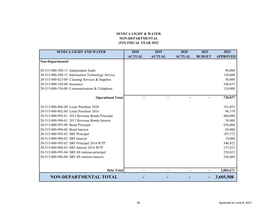### **SENECA LIGHT & WATER NON-DEPARTMENTAL (515) FISCAL YEAR 202<sup>2</sup>**

<span id="page-40-0"></span>

| <b>SENECA LIGHT AND WATER</b>                    | 2018          | 2019          | 2020          | 2021          | 2022            |
|--------------------------------------------------|---------------|---------------|---------------|---------------|-----------------|
|                                                  | <b>ACTUAL</b> | <b>ACTUAL</b> | <b>ACTUAL</b> | <b>BUDGET</b> | <b>APPROVED</b> |
| Non-Departmental                                 |               |               |               |               |                 |
|                                                  |               |               |               |               |                 |
| 20-515-000-300-13 Independent Audit              |               |               |               |               | 90,000          |
| 20-515-000-300-15 Information Technology Service |               |               |               |               | 120,000         |
| 20-515-000-423-00 Cleaning Services & Supplies   |               |               |               |               | 50,000          |
| 20-515-000-520-00 Insurance                      |               |               |               |               | 340,837         |
| 20-515-000-530-00 Communications & Telephone     |               |               |               |               | 120,000         |
|                                                  |               |               |               |               |                 |
| <b>Operational Total</b>                         |               |               |               |               | 720,837         |
|                                                  |               |               |               |               |                 |
| 20-515-000-806-00 Lease Purchase 2020            |               |               |               |               | 183,053         |
| 20-515-000-802-00 Lease Purchase 2016            |               |               |               |               | 96,379          |
| 20-515-000-995-01 2013 Revenue Bonds Principal   |               |               |               |               | 480,000         |
| 20-515-000-996-01 2013 Revenue Bonds Interest    |               |               |               |               | 58,000          |
| 20-515-000-995-00 Bond Principal                 |               |               |               |               | 830,000         |
| 20-515-000-996-00 Bond Interest                  |               |               |               |               | 69,400          |
| 20-515-000-995-02 SRF Principal                  |               |               |               |               | 107,372         |
| 20-515-000-996-02 SRF Interest                   |               |               |               |               | 19,000          |
| 20-515-000-995-03 SRF Principal 2014 WTP         |               |               |               |               | 540,422         |
| 20-515-000-996-03 SRF Interest 2014 WTP          |               |               |               |               | 137,822         |
| 20-515-000-995-04 SRF lift stations-principal    |               |               |               |               | 258,823         |
| 20-515-000-996-04 SRF lift stations-interest     |               |               |               |               | 104,400         |
|                                                  |               |               |               |               |                 |
|                                                  |               |               |               |               |                 |
| <b>Debt Total</b>                                |               |               |               |               | 2,884,671       |
| <b>NON-DEPARTMENTAL TOTAL</b>                    |               |               |               |               | 3,605,508       |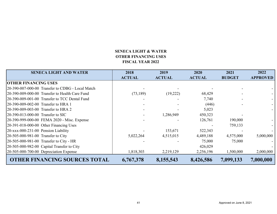## **SENECA LIGHT & WATER OTHER FINANCING USES FISCAL YEAR 2022**

| <b>SENECA LIGHT AND WATER</b>                    | 2018          | 2019          | 2020          | 2021          | 2022            |
|--------------------------------------------------|---------------|---------------|---------------|---------------|-----------------|
|                                                  | <b>ACTUAL</b> | <b>ACTUAL</b> | <b>ACTUAL</b> | <b>BUDGET</b> | <b>APPROVED</b> |
| <b>OTHER FINANCING USES</b>                      |               |               |               |               |                 |
| 20-390-007-000-00 Transfer to CDBG - Local Match |               |               |               |               |                 |
| 20-390-009-000-00 Transfer to Health Care Fund   | (73, 189)     | (19,222)      | 68,429        |               |                 |
| 20-390-009-001-00 Transfer to TCC Dental Fund    |               |               | 7,740         |               |                 |
| 20-390-009-002-00 Transfer to HRA 1              |               |               | (446)         |               |                 |
| 20-390-009-003-00 Transfer to HRA 2              |               |               | 5,023         |               |                 |
| 20-390-013-000-00 Transfer to SIC                |               | 1,286,949     | 450,323       |               |                 |
| 20-390-999-000-00 FEMA 2020 - Misc. Expense      |               |               | 126,761       | 190,000       |                 |
| 20-391-018-000-00 Other Financing Uses           |               |               |               | 759,133       |                 |
| 20-xxx-000-231-00 Pension Liability              |               | 153,671       | 522,343       |               |                 |
| 20-505-000-981-00 Transfer to City               | 5,022,264     | 4,515,015     | 4,489,188     | 4,575,000     | 5,000,000       |
| 20-505-000-981-00 Transfer to City - HR          |               |               | 75,000        | 75,000        |                 |
| 20-505-000-982-00 Capital Transfer to City       |               |               | 426,029       |               |                 |
| $[20-505-000-700-00]$ Depreciation Expense       | 1,818,303     | 2,219,129     | 2,256,196     | 1,500,000     | 2,000,000       |
| <b>OTHER FINANCING SOURCES TOTAL</b>             | 6,767,378     | 8,155,543     | 8,426,586     | 7,099,133     | 7,000,000       |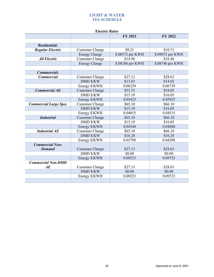## **LIGHT & WATER FEE SCHEDULE**

<span id="page-42-0"></span>

| <b>Electric Rates</b>        |                        |                  |                  |  |  |
|------------------------------|------------------------|------------------|------------------|--|--|
|                              |                        | <b>FY 2021</b>   | <b>FY 2022</b>   |  |  |
|                              |                        |                  |                  |  |  |
| <b>Residential:</b>          |                        |                  |                  |  |  |
| <b>Regular Electric</b>      | <b>Customer Charge</b> | \$9.21           | \$10.71          |  |  |
|                              | <b>Energy Charge</b>   | \$.08572 per KWH | \$.09072 per KWH |  |  |
| <b>All Electric</b>          | <b>Customer Charge</b> | \$14.96          | \$16.46          |  |  |
|                              | <b>Energy Charge</b>   | \$.08246 per KWH | \$.08746 per KWH |  |  |
|                              |                        |                  |                  |  |  |
| <b>Commercial:</b>           |                        |                  |                  |  |  |
| <b>Commercial</b>            | <b>Customer Charge</b> | \$27.13          | \$28.63          |  |  |
|                              | <b>DMD \$/KW</b>       | \$13.02          | \$14.02          |  |  |
|                              | Energy \$/KWH          | 0.06239          | 0.06739          |  |  |
| <b>Commercial AE</b>         | <b>Customer Charge</b> | \$32.55          | \$34.05          |  |  |
|                              | <b>DMD \$/KW</b>       | \$15.19          | \$16.05          |  |  |
|                              | Energy \$/KWH          | 0.05425          | 0.05925          |  |  |
| <b>Commercial Large Spec</b> | <b>Customer Charge</b> | \$65.10          | \$66.10          |  |  |
|                              | <b>DMD \$/KW</b>       | \$15.19          | \$16.05          |  |  |
|                              | Energy \$/KWH          | 0.04015          | 0.04515          |  |  |
| <b>Industrial</b>            | <b>Customer Charge</b> | \$65.10          | \$66.10          |  |  |
|                              | <b>DMD \$/KW</b>       | \$15.19          | \$16.05          |  |  |
|                              | Energy \$/KWH          | 0.04340          | 0.04840          |  |  |
| <b>Industrial AE</b>         | <b>Customer Charge</b> | \$65.10          | \$66.10          |  |  |
|                              | <b>DMD \$/KW</b>       | \$16.28          | \$16.28          |  |  |
|                              | Energy \$/KWH          | 0.03798          | 0.04298          |  |  |
| <b>Commercial Non-</b>       |                        |                  |                  |  |  |
| <b>Demand</b>                | <b>Customer Charge</b> | \$27.13          | \$28.63          |  |  |
|                              | <b>DMD \$/KW</b>       | \$0.00           | \$0.00           |  |  |
|                              | Energy \$/KWH          | 0.09223          | 0.09723          |  |  |
| <b>Commercial Non-DMD</b>    |                        |                  |                  |  |  |
| AE                           | <b>Customer Charge</b> | \$27.13          | \$28.63          |  |  |
|                              | <b>DMD \$/KW</b>       | \$0.00           | \$0.00           |  |  |
|                              | Energy \$/KWH          | 0.09223          | 0.09723          |  |  |
|                              |                        |                  |                  |  |  |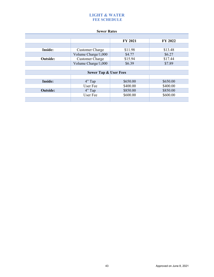## **LIGHT & WATER FEE SCHEDULE**

#### **Sewer Rates**

|                 |                                  | <b>FY 2021</b> | <b>FY 2022</b> |
|-----------------|----------------------------------|----------------|----------------|
|                 |                                  |                |                |
| Inside:         | <b>Customer Charge</b>           | \$11.98        | \$13.48        |
|                 | Volume Charge/1,000              | \$4.77         | \$6.27         |
| <b>Outside:</b> | <b>Customer Charge</b>           | \$15.94        | \$17.44        |
|                 | Volume Charge/1,000              | \$6.39         | \$7.89         |
|                 |                                  |                |                |
|                 | <b>Sewer Tap &amp; User Fees</b> |                |                |
|                 |                                  |                |                |
| Inside:         | $4"$ Tap                         | \$650.00       | \$650.00       |
|                 | User Fee                         | \$400.00       | \$400.00       |
| <b>Outside:</b> | $4"$ Tap                         | \$850.00       | \$850.00       |
|                 | User Fee                         | \$600.00       | \$600.00       |
|                 |                                  |                |                |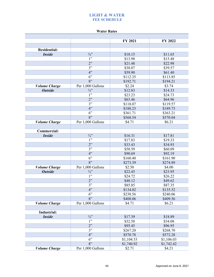## **LIGHT & WATER FEE SCHEDULE**

#### **Water Rates**

|                      |                   | FY 2021    | <b>FY 2022</b> |
|----------------------|-------------------|------------|----------------|
|                      |                   |            |                |
| <b>Residential:</b>  |                   |            |                |
| <b>Inside</b>        | $\frac{3}{4}$     | \$10.15    | \$11.65        |
|                      | 1"                | \$13.98    | \$15.48        |
|                      | 2"                | \$21.48    | \$22.98        |
|                      | 3"                | \$38.07    | \$39.57        |
|                      | 4"                | \$59.90    | \$61.40        |
|                      | 6"                | \$112.35   | \$113.85       |
|                      | 8"                | \$192.71   | \$194.21       |
| <b>Volume Charge</b> | Per 1,000 Gallons | \$2.24     | \$3.74         |
| <b>Outside</b>       | $\frac{3}{4}$     | \$12.83    | \$14.33        |
|                      | 1"                | \$23.23    | \$24.73        |
|                      | 2"                | \$63.46    | \$64.96        |
|                      | 3"                | \$118.07   | \$119.57       |
|                      | 4"                | \$188.23   | \$189.73       |
|                      | 6"                | \$361.71   | \$363.21       |
|                      | 8"                | \$568.54   | \$570.04       |
| <b>Volume Charge</b> | Per 1,000 Gallons | \$4.71     | \$6.21         |
|                      |                   |            |                |
| <b>Commercial:</b>   |                   |            |                |
| <b>Inside</b>        | $\frac{3}{4}$     | \$16.31    | \$17.81        |
|                      | 1"                | \$17.83    | \$19.33        |
|                      | 2"                | \$33.43    | \$34.93        |
|                      | 3"                | \$58.59    | \$60.09        |
|                      | 4"                | \$90.69    | \$92.19        |
|                      | 6"                | \$160.40   | \$161.90       |
|                      | 8"                | \$273.39   | \$274.89       |
| <b>Volume Charge</b> | Per 1,000 Gallons | \$2.50     | \$4.00         |
| <b>Outside</b>       | $\frac{3}{4}$     | \$22.45    | \$23.95        |
|                      | 1"                | \$24.72    | \$26.22        |
|                      | 2"                | \$48.12    | \$49.62        |
|                      | 3"                | \$85.85    | \$87.35        |
|                      | 4"                | \$134.02   | \$135.52       |
|                      | 6"                | \$238.56   | \$240.06       |
|                      | 8"                | \$408.06   | \$409.56       |
| <b>Volume Charge</b> | Per 1,000 Gallons | \$4.71     | \$6.21         |
| Industrial:          |                   |            |                |
| <b>Inside</b>        | $3/4$ "           | \$17.39    | \$18.89        |
|                      | 1"                | \$32.58    | \$34.08        |
|                      | 2"                | \$95.45    | \$96.95        |
|                      | 3"                | \$267.20   | \$268.70       |
|                      | 4"                | \$570.78   | \$572.28       |
|                      | 6"                | \$1,104.53 | \$1,106.03     |
|                      | 8"                | \$1,740.92 | \$1,742.42     |
| <b>Volume Charge</b> | Per 1,000 Gallons | \$2.71     | \$4.21         |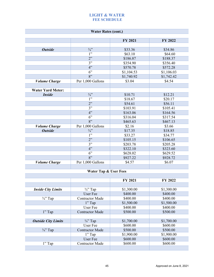## **LIGHT & WATER FEE SCHEDULE**

|                            | <b>Water Rates (cont.)</b>       |            |                |
|----------------------------|----------------------------------|------------|----------------|
|                            |                                  | FY 2021    | FY 2022        |
|                            |                                  |            |                |
| <b>Outside</b>             | $\frac{3}{4}$                    | \$33.36    | \$34.86        |
|                            | 1"                               | \$63.10    | \$64.60        |
|                            | 2"                               | \$186.87   | \$188.37       |
|                            | 3"                               | \$354.90   | \$356.40       |
|                            | 4"                               | \$570.78   | \$572.28       |
|                            | 6"                               | \$1,104.53 | \$1,106.03     |
|                            | 8"                               | \$1,740.92 | \$1,742.42     |
| <b>Volume Charge</b>       | Per 1,000 Gallons                | \$3.04     | \$4.54         |
|                            |                                  |            |                |
| <b>Water Yard Meter:</b>   |                                  |            |                |
| <b>Inside</b>              | $\frac{3}{4}$                    | \$10.71    | \$12.21        |
|                            | 1"                               | \$18.67    | \$20.17        |
|                            | 2"                               | \$54.61    | \$56.11        |
|                            | 3"                               | \$103.91   | \$105.41       |
|                            | 4"                               | \$163.06   | \$164.56       |
|                            | 6"                               | \$316.04   | \$317.54       |
|                            | 8"                               | \$465.63   | \$467.13       |
| <b>Volume Charge</b>       | Per 1,000 Gallons                | \$2.16     | \$3.66         |
| <b>Outside</b>             | $\frac{3}{4}$ ?                  | \$17.35    | \$18.85        |
|                            | 1"                               | \$33.27    | \$34.77        |
|                            | 2"                               | \$105.15   | \$106.65       |
|                            | 3"                               | \$203.78   | \$205.28       |
|                            | 4"                               | \$322.10   | \$323.60       |
|                            | 6"                               | \$628.02   | \$629.52       |
|                            | 8"                               | \$927.22   | \$928.72       |
| <b>Volume Charge</b>       | Per 1,000 Gallons                | \$4.57     | \$6.07         |
|                            |                                  |            |                |
|                            | <b>Water Tap &amp; User Fees</b> |            |                |
|                            |                                  |            |                |
|                            |                                  | FY 2021    | <b>FY 2022</b> |
|                            |                                  |            |                |
| <b>Inside City Limits</b>  | $\frac{3}{4}$ " Tap              | \$1,300.00 | \$1,300.00     |
|                            | User Fee                         | \$400.00   | \$400.00       |
| $\frac{3}{4}$ . Tap        | <b>Contractor Made</b>           | \$400.00   | \$400.00       |
|                            | $1"$ Tap                         | \$1,500.00 | \$1,500.00     |
|                            | User Fee                         | \$400.00   | \$400.00       |
| 1" Tap                     | <b>Contractor Made</b>           | \$500.00   | \$500.00       |
|                            |                                  |            |                |
| <b>Outside City Limits</b> | $\frac{3}{4}$ " Tap              | \$1,700.00 | \$1,700.00     |
|                            | User Fee                         | \$600.00   | \$600.00       |
| $\frac{3}{4}$ " Tap        | <b>Contractor Made</b>           | \$500.00   | \$500.00       |
|                            | 1" Tap                           | \$1,900.00 | \$1,900.00     |
|                            | <b>User Fee</b>                  | \$600.00   | \$600.00       |
| 1" Tap                     | <b>Contractor Made</b>           | \$600.00   | \$600.00       |
|                            |                                  |            |                |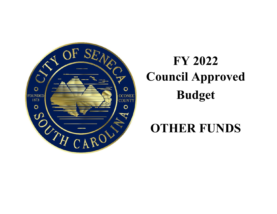<span id="page-46-0"></span>

# **FY 2022 Council Approved Budget**

## **OTHER FUNDS**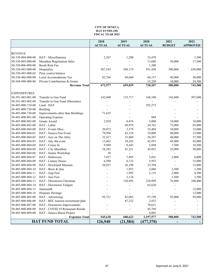#### **CITY OF SENECA HAT FUNDS (30) FISCAL YEAR 2022**

<span id="page-47-0"></span>

|                     |                                    | 2018          | 2019          | 2020                     | 2021          | 2022            |
|---------------------|------------------------------------|---------------|---------------|--------------------------|---------------|-----------------|
|                     |                                    | <b>ACTUAL</b> | <b>ACTUAL</b> | <b>ACTUAL</b>            | <b>BUDGET</b> | <b>APPROVED</b> |
|                     |                                    |               |               |                          |               |                 |
| <b>REVENUE</b>      |                                    |               |               |                          |               |                 |
| 30-330-004-000-00   | HAT - Miscellaneous                | 2,267         | 1,200         | 32,470                   |               | 1,500           |
| 30-330-005-000-00   | Marathon Registration Sales        |               |               | 13,680                   | 30,000        | 17,500          |
| 30-330-006-000-00   | Booth Rent Fee                     |               |               | 1,200                    |               | -               |
| 30-330-485-000-00   | Hospitality                        | 587,545       | 588,179       | 591,450                  | 500,000       | 650,000         |
| 30-330-485-000-02   | Prior year(s) balance              |               |               |                          |               |                 |
| 30-330-486-000-00   | Local Accomodations Tax            | 82,766        | 69,660        | 66,157                   | 40,000        | 50,000          |
| 30-364-490-000-00   | Private Contributions & Grants     |               |               | 15,250                   | 10,000        | 24,500          |
|                     | <b>Revenue Total</b>               | 672,577       | 659,039       | 720,207                  | 580,000       | 743,500         |
|                     |                                    |               |               |                          |               |                 |
| <b>EXPENDITURES</b> |                                    |               |               |                          |               |                 |
| 30-391-485-001-00   | Transfer to Gen Fund               | 142,600       | 135,717       | 168,180                  | 142,600       | 207,600         |
| 30-391-485-002-00   | Transfer to Gen Fund (Museums)     |               |               |                          |               |                 |
| 30-485-000-710-00   | Land - HAT                         |               |               | 292,273                  |               |                 |
| 30-485-000-720-00   | Building                           |               |               |                          |               |                 |
| 30-485-000-730-00   | Improvements other than Buildings  | 71,635        |               |                          |               |                 |
| 30-485-000-801-00   | <b>Operating Expense</b>           |               |               | 888                      |               |                 |
| 30-485-000-802-00   | Grants Award                       | 2,038         | 8,474         | 5,000                    | 10,000        | 10,000          |
| 30-485-000-803-00   | HAT - Labor                        |               | 69,979        | 24,762                   | 75,000        | 85,000          |
| 30-485-000-804-00   | HAT - Events Misc.                 | 29,072        | 3,379         | 35,404                   | 10,000        | 15,000          |
| 30-485-000-804-01   | HAT - Seneca Fest Event            | 79,996        | 43,124        | 10,008                   | 40,000        | 15,000          |
| 30-485-000-804-02   | HAT - Jazz on The Alley            | 32,417        | 33,860        | 28,287                   | 40,000        | 37,500          |
| 30-485-000-804-03   | HAT - July 4th event               | 13,462        | 39,343        | 42,953                   | 45,000        | 45,000          |
| 30-485-000-804-04   | HAT - Cruise In                    | 9,940         | 8,443         | 5,894                    | 7,500         | 10,500          |
| 30-485-000-804-05   | HAT - City Marathon                | 34,282        | 41,221        | 45,052                   | 25,000        | 50,000          |
| 30-485-000-804-06   | HAT - Santas Workshop              | 30            |               |                          |               |                 |
| 30-485-000-804-07   | HAT - Halloween                    | 7,827         | 7,885         | 5,691                    | 5,000         | 8,000           |
| 30-485-000-804-08   | HAT - Lunney House                 | 6,580         | 6,133         | 5,953                    |               | 15,000          |
| 30-485-000-804-09   | HAT - Strickland Museum            | 20,037        | 26,190        | 25,394                   |               | 15,000          |
| 30-485-000-804-10   | HAT - Brew & Que                   |               | 1,953         | 3,060                    | 2,500         | 2,500           |
| 30-485-000-804-11   | HAT - Jeep Fest                    |               | 1,995         | 2,135                    | 2,000         | 4,500           |
| 30-485-000-804-12   | HAT - Jazz Fest                    |               | 3,134         | $\overline{\phantom{a}}$ | 3,500         | 3,500           |
| 30-485-000-804-13   | HAT - Downtown Christmas           |               | 120,495       | 220,999                  | 76,900        | 100,400         |
| 30-485-000-804-14   | HAT - Downtown Tailgate            |               |               | 65,620                   |               |                 |
| 30-485-000-804-15   | Juneteenth                         |               |               |                          |               | 12,000          |
| 30-485-000-804-16   | Hispanic Heritage                  |               |               | $\overline{a}$           |               | 12,000          |
| 30-485-000-805-00   | HAT - Advertising                  | 95,721        | 82,065        | 87,199                   | 95,000        | 95,000          |
| 30-485-000-806-00   | HAT - REC tourism recruitment plan |               | 47,232        | 2,433                    |               |                 |
| 30-485-000-807-00   | HAT - Downtown Improvements        |               |               | 70,621                   |               |                 |
| 30-485-000-808-00   | HAT - COVID 19 Restaurant Reimb.   |               |               | 45,768                   |               |                 |
| 30-485-000-809-00   | HAT - Seneca Mural Project         |               |               | 4,003                    |               |                 |
|                     | <b>Expenses Total</b>              | 545,638       | 680,623       | 1,197,577                | 580,000       | 743,500         |
|                     | <b>HAT FUND TOTAL</b>              | 126,940       | (21, 584)     | (477, 370)               |               |                 |
|                     |                                    |               |               |                          |               |                 |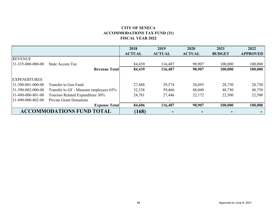## **CITY OF SENECA ACCOMMODATIONS TAX FUND (31) FISCAL YEAR 2022**

<span id="page-48-0"></span>

|                             |                                       | 2018          | 2019          | 2020          | 2021          | 2022            |
|-----------------------------|---------------------------------------|---------------|---------------|---------------|---------------|-----------------|
|                             |                                       | <b>ACTUAL</b> | <b>ACTUAL</b> | <b>ACTUAL</b> | <b>BUDGET</b> | <b>APPROVED</b> |
| <b>REVENUE</b>              |                                       |               |               |               |               |                 |
| $31 - 335 - 000 - 000 - 00$ | <b>State Accom Tax</b>                | 84,439        | 116,487       | 98,907        | 100,000       | 100,000         |
|                             | <b>Revenue Totall</b>                 | 84,439        | 116,487       | 98,907        | 100,000       | 100,000         |
|                             |                                       |               |               |               |               |                 |
| <b>EXPENDITURES</b>         |                                       |               |               |               |               |                 |
| $31-390-001-000-00$         | Transfer to Gen Fund                  | 27,488        | 29,574        | 28,695        | 28,750        | 28,750          |
| 31-390-002-000-00           | Transfer to GF - Museum employees 65% | 32,338        | 59,466        | 48,040        | 48,750        | 48,750          |
| 31-490-000-801-00           | Tourism Related Expenditure 30%       | 24,781        | 27,446        | 22,172        | 22,500        | 22,500          |
| 31-490-000-802-00           | <b>Private Grant Donations</b>        |               |               |               |               |                 |
|                             | <b>Expense Total</b>                  | 84,606        | 116,487       | 98,907        | 100,000       | 100,000         |
|                             | <b>ACCOMMODATIONS FUND TOTAL</b>      | (168)         |               |               |               |                 |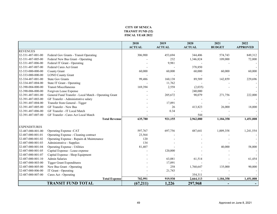#### **CITY OF SENECA TRANSIT FUND (32) FISCAL YEAR 2022**

<span id="page-49-0"></span>

|                     |                                                       | 2018          | 2019          | 2020          | 2021          | 2022            |
|---------------------|-------------------------------------------------------|---------------|---------------|---------------|---------------|-----------------|
|                     |                                                       | <b>ACTUAL</b> | <b>ACTUAL</b> | <b>ACTUAL</b> | <b>BUDGET</b> | <b>APPROVED</b> |
| <b>REVENUES</b>     |                                                       |               |               |               |               |                 |
| 32-331-487-001-00   | Federal Gov Grants - Transit Operating                | 306,900       | 453,694       | 344,406       | 574,743       | 849,312         |
| 32-331-487-005-00   | Federal New Bus Grant - Operating                     |               | 232           | 1,346,824     | 109,000       | 72,000          |
| 32-331-487-006-00   | Federal IT Grant - Operating                          |               | 9,981         |               |               |                 |
| 32-331-487-007-00   | Federal Cares Act Grant                               |               |               | 378,850       |               |                 |
| 32-333-000-000-00   | County Grant                                          | 60,000        | 60,000        | 60,000        | 60,000        | 60,000          |
| 32-333-000-000-00   | <b>LONO County Grant</b>                              |               |               |               |               |                 |
| 32-334-487-001-00   | <b>State Gov Grants</b>                               | 99,486        | 160,138       | 89,589        | 142,859       | 229,696         |
| 32-334-487-004-00   | State IT Grant - Operating                            |               | 11,762        |               |               |                 |
| 32-390-004-000-00   | <b>Transit Miscellaneous</b>                          | 169,394       | 2,558         | (2,035)       |               |                 |
| 32-390-006-000-00   | Forgiven Lease Expense                                |               |               | 240,000       |               |                 |
| 32-391-487-001-00   | General Fund Transfer - Local Match - Operating Grant |               | 205,672       | 90,079        | 271,756       | 222,000         |
| 32-391-487-003-00   | GF Transfer - Administrative salary                   |               |               |               |               |                 |
| 32-391-487-004-00   | Transfer from General - Tigger                        |               | 17,091        |               |               |                 |
| 32-391-487-005-00   | GF Transfer - New Bus                                 |               | 26            | 413,823       | 26,000        | 18,000          |
| 32-391-487-006-00   | GF Transfer - IT Local Match                          |               | 0.34          |               |               |                 |
| 32-391-487-007-00   | GF Transfer - Cares Act Local Match                   |               |               | 544           |               |                 |
|                     | <b>Total Revenue</b>                                  | 635,780       | 921,155       | 2,962,080     | 1,184,358     | 1,451,008       |
|                     |                                                       |               |               |               |               |                 |
| <b>EXPENDITURES</b> |                                                       |               |               |               |               |                 |
| 32-487-000-801-00   | Operating Expense -CAT                                | 597,767       | 697,756       | 487,641       | 1,009,358     | 1,241,554       |
| 32-487-000-801-01   | Operating Expense - Cleaning contract                 | 23,564        |               |               |               |                 |
| 32-487-000-801-02   | Operating Expense - Repairs & Maintenance             | 120           |               |               |               |                 |
| 32-487-000-801-03   | Administrative - Supplies                             | 134           |               |               |               |                 |
| 32-487-000-801-04   | Operating Expense - Utilities                         | 81,407        |               |               | 40,000        | 58,000          |
| 32-487-000-801-05   | Capital Expense - Lease expense                       |               | 120,000       |               |               |                 |
| 32-487-000-801-07   | Capital Expense - Shop Equipment                      |               |               |               |               |                 |
| 32-487-000-801-10   | <b>Admin Salaries</b>                                 |               | 63,081        | 61,514        |               | 61,454          |
| 32-487-000-803-00   | <b>Tigger Grant Expenditures</b>                      |               | 17,091        |               |               |                 |
| 32-487-000-805-00   | New Bus Grant - Operating                             |               | 258           | 1,760,647     | 135,000       | 90,000          |
| 32-487-000-806-00   | IT Grant - Operating                                  |               | 21,743        |               |               |                 |
| 32-487-000-807-00   | Cares Act - Operating                                 |               |               | 354,311       |               |                 |
|                     | <b>Total Expense</b>                                  | 702.991       | 919,930       | 2,664,113     | 1,184,358     | 1,451,008       |
|                     | <b>TRANSIT FUND TOTAL</b>                             | (67,211)      | 1,226         | 297,968       |               |                 |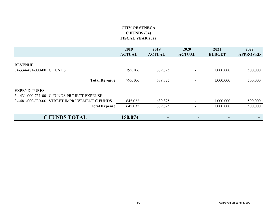## **CITY OF SENECA C FUNDS (34) FISCAL YEAR 2022**

<span id="page-50-0"></span>

|                                              | 2018<br><b>ACTUAL</b> | 2019<br><b>ACTUAL</b>          | 2020<br><b>ACTUAL</b> | 2021<br><b>BUDGET</b> | 2022<br><b>APPROVED</b> |
|----------------------------------------------|-----------------------|--------------------------------|-----------------------|-----------------------|-------------------------|
| <b>REVENUE</b>                               |                       |                                |                       |                       |                         |
| 34-334-481-000-00 C FUNDS                    | 795,106               | 689,825                        |                       | 1,000,000             | 500,000                 |
| <b>Total Revenue</b>                         | 795,106               | 689,825                        |                       | 1,000,000             | 500,000                 |
| <b>EXPENDITURES</b>                          |                       |                                |                       |                       |                         |
| 34-431-000-731-00 C FUNDS PROJECT EXPENSE    |                       | $\overline{\phantom{0}}$       |                       |                       |                         |
| 34-481-000-730-00 STREET IMPROVEMENT C FUNDS | 645,032               | 689,825                        |                       | 1,000,000             | 500,000                 |
| <b>Total Expense</b>                         | 645,032               | 689,825                        |                       | 1,000,000             | 500,000                 |
| <b>C FUNDS TOTAL</b>                         | 150,074               | $\qquad \qquad =\qquad \qquad$ | $\equiv$              |                       |                         |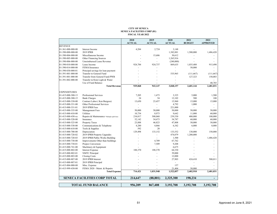#### **CITY OF SENECA SENECA FACILITIES CORP (81) FISCAL YEAR 2022**

<span id="page-51-0"></span>

|                     |                                             | 2018          | 2019          | 2020          | 2021          | 2022                     |
|---------------------|---------------------------------------------|---------------|---------------|---------------|---------------|--------------------------|
|                     |                                             | <b>ACTUAL</b> | <b>ACTUAL</b> | <b>ACTUAL</b> | <b>BUDGET</b> | <b>APPROVED</b>          |
| <b>REVENUE</b>      |                                             |               |               |               |               |                          |
| 81-361-000-000-00   | Interest Income                             | 4,284         | 2,724         | 3,148         |               |                          |
| 81-390-000-000-00   | 2019 IPRB                                   |               |               | 1,382,881     | 1,500,000     | 1,486,420                |
| 81-390-004-000-00   | Miscellaneous Income                        |               | 15,686        | 30,612        |               |                          |
| 81-390-005-000-00   | Other Financing Sources                     |               | ä,            | 1,265,916     |               |                          |
| 81-390-006-000-00   | Unreimbursed Lease Revenue                  |               | ä,            | (240,000)     |               |                          |
| 81-390-010-000-00   | Lease Income                                | 924,784       | 924,737       | 869,635       | 1,035,488     | 915,490                  |
| 81-390-014-000-00   | FEMA/Insurance                              |               |               |               | 50,000        |                          |
| 81-390-030-000-01   | Principal savings for loan payment          |               |               |               |               |                          |
| 81-391-001-000-00   | Transfer to General Fund                    |               |               | 535,965       | (111,667)     | (111, 667)               |
| 81-391-001-000-00   | Transfer from General Fund-PWB              |               |               |               | 127,323       | 150,003                  |
| 81-391-002-000-00   | Transfer to/from Light & Water              |               |               |               |               |                          |
|                     | Use of Fund Balance                         |               |               |               |               | 40,785                   |
|                     | <b>Total Revenue</b>                        | 929,068       | 943,147       | 3,848,157     | 2,601,144     | 2,481,031                |
| <b>EXPENDITURES</b> |                                             |               |               |               |               |                          |
| 81-415-000-300-13   | Professional Services                       | 7,205         | 1,473         | 3,325         | 5,000         | 1,500                    |
| 81-415-000-300-15   | <b>Bank Charges</b>                         | 24            | 54            | 12,102        | 500           | 100                      |
| 81-415-000-330-00   | Contract Labor (Ken Burgess)                | 13,650        | 23,457        | 15,960        | 15,000        | 15,000                   |
| 81-415-000-331-00   | Other Professional Services                 | ÷,            | ٠             | 4,792         | 1,000         |                          |
| 81-415-000-331-01   | 2019 IPRB Fees                              |               |               | 221,000       |               |                          |
| 81-415-000-335-00   | Management Fees                             | 50,000        | 50,000        | 50,000        | 50,000        | 50,000                   |
| 81-415-000-410-00   | Utilities                                   | 10,754        | 8,973         | 9,642         | 11,000        | 60,000                   |
| 81-415-000-430-xx   | Repairs & Maintenance *Multiple upfit lines | 234,017       | 508,068       | 239,530       | 400,000       | 100,000                  |
| 81-415-000-520-00   | Insurance                                   | 52,142        | 54,473        | 54,787        | 60,000        | 60,000                   |
| 81-415-000-525-00   | Property Taxes                              | 23,888        | 46,823        | 47,808        | 50,000        | 50,000                   |
| 81-415-000-530-00   | Communications & Telephone                  | 4,280         | 4.866         | 6,342         | 6,000         | 8,000                    |
| 81-415-000-610-00   | Tools & Supplies                            | 592           | 20            |               |               |                          |
| 81-415-000-700-00   | Depreciation                                | 129,498       | 133,152       | 133,552       | 130,000       | 150,000                  |
| 81-415-000-720-02   | 2019 IPRB Property Upgrades                 |               |               | 474,079       | 1,200,000     |                          |
| 81-415-000-720-03   | 2019 IPRB Public Works Building             |               |               | 1,500         |               | 1,486,420                |
| 81-415-000-730-00   | Improvements Other than buildings           |               | 4,709         | 67,762        |               |                          |
| 81-415-000-730-01   | Propex Conversion                           |               | 7,509         | 9,208         |               |                          |
| 81-415-000-741-00   | Machinery & Equipment                       |               |               | 6,675         |               |                          |
| 81-415-000-802-00   | <b>Interest Expense</b>                     | 188,370       | 188,370       | 64,330        |               |                          |
| 81-415-000-802-01   | NMTC Principal                              |               |               | 39,000        |               |                          |
| 81-415-000-803-00   | <b>Closing Costs</b>                        |               |               | 12,000        |               |                          |
| 81-415-000-807-00   | 2019 IPRB Interest                          |               |               | 27,903        | 424,410       | 500,011                  |
| 81-415-000-807-01   | 2019 IPRB Principal                         |               |               |               |               |                          |
| 81-415-004-000-00   | Misc. Expense                               |               |               | 157           |               |                          |
| 81-415-999-430-00   | FEMA 2020 - Maint. & Repairs                |               |               | 21,404        | 50,000        |                          |
|                     | <b>Total Expense</b>                        | 714,421       | 1,031,948     | 1,522,857     | 2,402,910     | 2,481,031                |
|                     |                                             |               |               |               |               |                          |
|                     | <b>SENECA FACILITIES CORP TOTAL</b>         | 214,647       | (88, 801)     | 2,325,300     | 198,234       | $\overline{\phantom{0}}$ |
|                     | <b>TOTAL FUND BALANCE</b>                   | 956,209       | 867,408       | 3,192,708     | 3,192,708     | 3,192,708                |